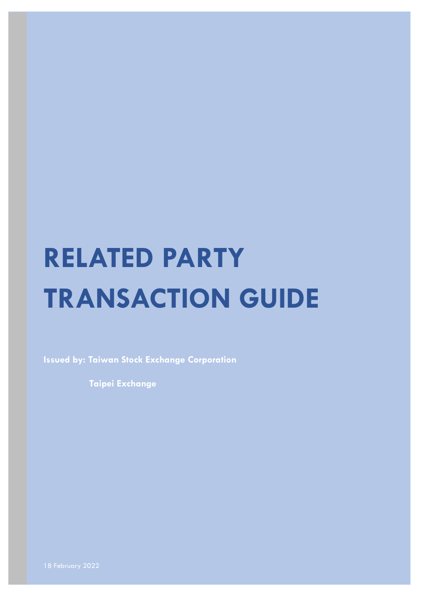# **RELATED PARTY TRANSACTION GUIDE**

**Issued by: Taiwan Stock Exchange Corporation**

**Taipei Exchange**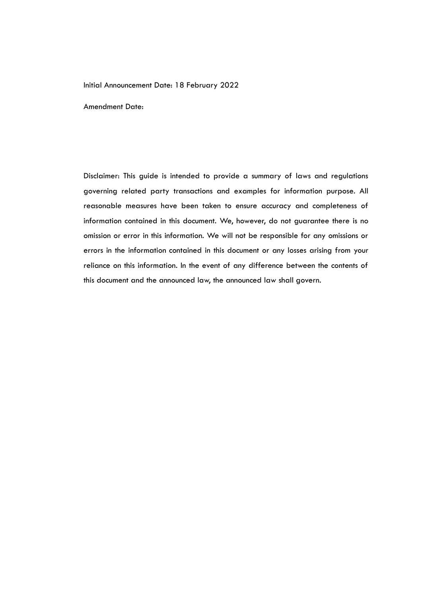#### Initial Announcement Date: 18 February 2022

Amendment Date:

Disclaimer: This guide is intended to provide a summary of laws and regulations governing related party transactions and examples for information purpose. All reasonable measures have been taken to ensure accuracy and completeness of information contained in this document. We, however, do not guarantee there is no omission or error in this information. We will not be responsible for any omissions or errors in the information contained in this document or any losses arising from your reliance on this information. In the event of any difference between the contents of this document and the announced law, the announced law shall govern.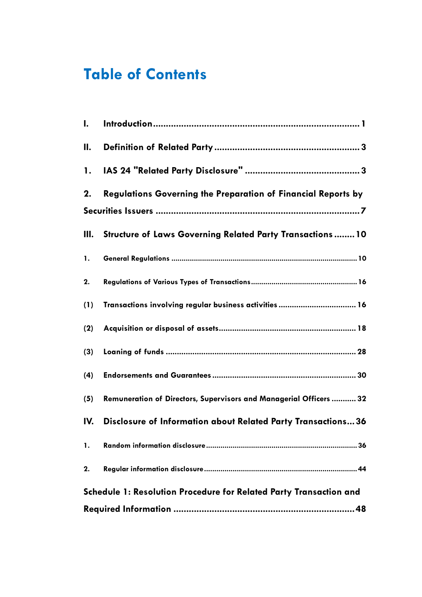# **Table of Contents**

| $\mathbf{l}$ . |                                                                           |
|----------------|---------------------------------------------------------------------------|
| П.             |                                                                           |
| 1.             |                                                                           |
| 2.             | <b>Regulations Governing the Preparation of Financial Reports by</b>      |
| III.           | <b>Structure of Laws Governing Related Party Transactions 10</b>          |
| 1.             |                                                                           |
| 2.             |                                                                           |
| (1)            | Transactions involving regular business activities  16                    |
| (2)            |                                                                           |
| (3)            |                                                                           |
| (4)            |                                                                           |
| (5)            | Remuneration of Directors, Supervisors and Managerial Officers  32        |
| IV.            | Disclosure of Information about Related Party Transactions36              |
| 1.             |                                                                           |
| 2.             |                                                                           |
|                | <b>Schedule 1: Resolution Procedure for Related Party Transaction and</b> |
|                |                                                                           |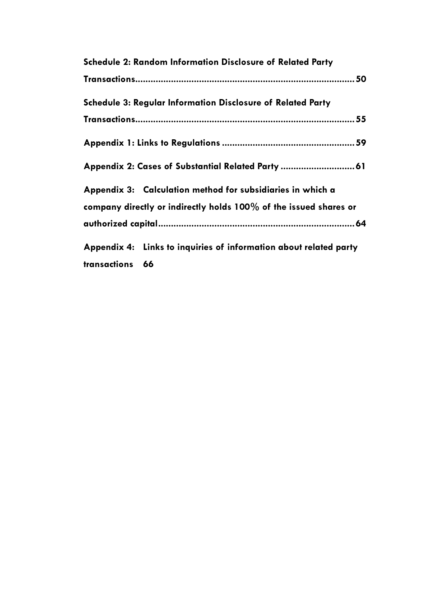|                 | <b>Schedule 2: Random Information Disclosure of Related Party</b>  |  |
|-----------------|--------------------------------------------------------------------|--|
|                 |                                                                    |  |
|                 | <b>Schedule 3: Regular Information Disclosure of Related Party</b> |  |
|                 |                                                                    |  |
|                 |                                                                    |  |
|                 | Appendix 2: Cases of Substantial Related Party  61                 |  |
|                 | Appendix 3: Calculation method for subsidiaries in which a         |  |
|                 | company directly or indirectly holds 100% of the issued shares or  |  |
|                 |                                                                    |  |
|                 | Appendix 4: Links to inquiries of information about related party  |  |
| transactions 66 |                                                                    |  |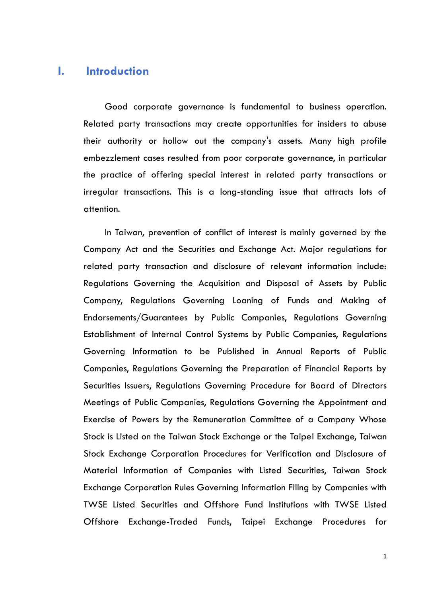## <span id="page-4-0"></span>**I. Introduction**

Good corporate governance is fundamental to business operation. Related party transactions may create opportunities for insiders to abuse their authority or hollow out the company's assets. Many high profile embezzlement cases resulted from poor corporate governance, in particular the practice of offering special interest in related party transactions or irregular transactions. This is a long-standing issue that attracts lots of attention.

In Taiwan, prevention of conflict of interest is mainly governed by the Company Act and the Securities and Exchange Act. Major regulations for related party transaction and disclosure of relevant information include: Regulations Governing the Acquisition and Disposal of Assets by Public Company, Regulations Governing Loaning of Funds and Making of Endorsements/Guarantees by Public Companies, Regulations Governing Establishment of Internal Control Systems by Public Companies, Regulations Governing Information to be Published in Annual Reports of Public Companies, Regulations Governing the Preparation of Financial Reports by Securities Issuers, Regulations Governing Procedure for Board of Directors Meetings of Public Companies, Regulations Governing the Appointment and Exercise of Powers by the Remuneration Committee of a Company Whose Stock is Listed on the Taiwan Stock Exchange or the Taipei Exchange, Taiwan Stock Exchange Corporation Procedures for Verification and Disclosure of Material Information of Companies with Listed Securities, Taiwan Stock Exchange Corporation Rules Governing Information Filing by Companies with TWSE Listed Securities and Offshore Fund Institutions with TWSE Listed Offshore Exchange-Traded Funds, Taipei Exchange Procedures for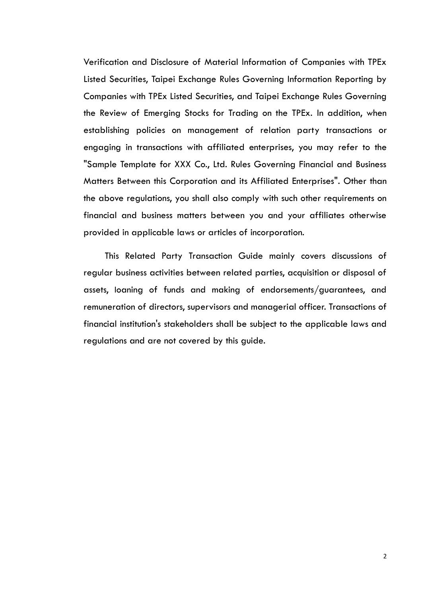Verification and Disclosure of Material Information of Companies with TPEx Listed Securities, Taipei Exchange Rules Governing Information Reporting by Companies with TPEx Listed Securities, and Taipei Exchange Rules Governing the Review of Emerging Stocks for Trading on the TPEx. In addition, when establishing policies on management of relation party transactions or engaging in transactions with affiliated enterprises, you may refer to the "Sample Template for XXX Co., Ltd. Rules Governing Financial and Business Matters Between this Corporation and its Affiliated Enterprises". Other than the above regulations, you shall also comply with such other requirements on financial and business matters between you and your affiliates otherwise provided in applicable laws or articles of incorporation.

This Related Party Transaction Guide mainly covers discussions of regular business activities between related parties, acquisition or disposal of assets, loaning of funds and making of endorsements/guarantees, and remuneration of directors, supervisors and managerial officer. Transactions of financial institution's stakeholders shall be subject to the applicable laws and regulations and are not covered by this guide.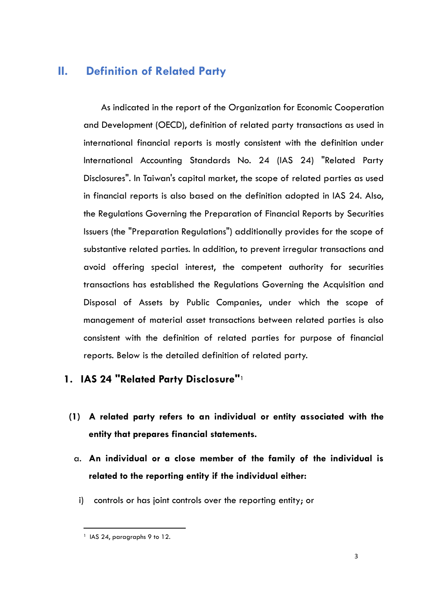## <span id="page-6-0"></span>**II. Definition of Related Party**

As indicated in the report of the Organization for Economic Cooperation and Development (OECD), definition of related party transactions as used in international financial reports is mostly consistent with the definition under International Accounting Standards No. 24 (IAS 24) "Related Party Disclosures". In Taiwan's capital market, the scope of related parties as used in financial reports is also based on the definition adopted in IAS 24. Also, the Regulations Governing the Preparation of Financial Reports by Securities Issuers (the "Preparation Regulations") additionally provides for the scope of substantive related parties. In addition, to prevent irregular transactions and avoid offering special interest, the competent authority for securities transactions has established the Regulations Governing the Acquisition and Disposal of Assets by Public Companies, under which the scope of management of material asset transactions between related parties is also consistent with the definition of related parties for purpose of financial reports. Below is the detailed definition of related party.

# <span id="page-6-1"></span>**1. IAS 24 "Related Party Disclosure"**<sup>1</sup>

- **(1) A related party refers to an individual or entity associated with the entity that prepares financial statements.**
	- a. **An individual or a close member of the family of the individual is related to the reporting entity if the individual either:**
		- i) controls or has joint controls over the reporting entity; or

 $\ddot{\phantom{a}}$ <sup>1</sup> IAS 24, paragraphs 9 to 12.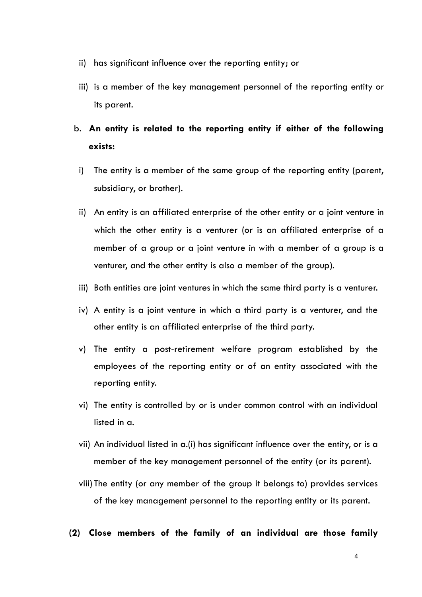- ii) has significant influence over the reporting entity; or
- iii) is a member of the key management personnel of the reporting entity or its parent.

# b. **An entity is related to the reporting entity if either of the following exists:**

- i) The entity is a member of the same group of the reporting entity (parent, subsidiary, or brother).
- ii) An entity is an affiliated enterprise of the other entity or a joint venture in which the other entity is a venturer (or is an affiliated enterprise of a member of a group or a joint venture in with a member of a group is a venturer, and the other entity is also a member of the group).
- iii) Both entities are joint ventures in which the same third party is a venturer.
- iv) A entity is a joint venture in which a third party is a venturer, and the other entity is an affiliated enterprise of the third party.
- v) The entity a post-retirement welfare program established by the employees of the reporting entity or of an entity associated with the reporting entity.
- vi) The entity is controlled by or is under common control with an individual listed in a.
- vii) An individual listed in a.(i) has significant influence over the entity, or is a member of the key management personnel of the entity (or its parent).
- viii) The entity (or any member of the group it belongs to) provides services of the key management personnel to the reporting entity or its parent.
- **(2) Close members of the family of an individual are those family**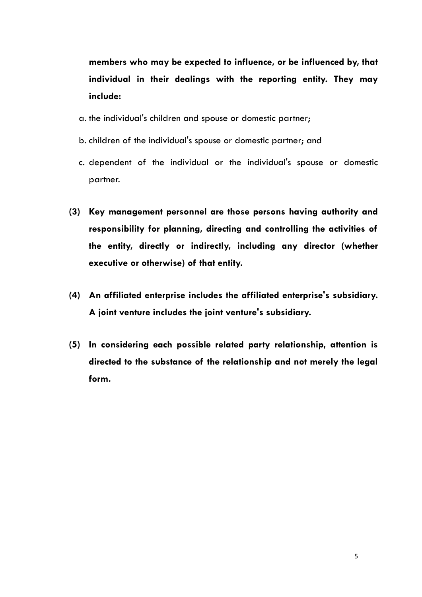**members who may be expected to influence, or be influenced by, that individual in their dealings with the reporting entity. They may include:**

- a. the individual's children and spouse or domestic partner;
- b. children of the individual's spouse or domestic partner; and
- c. dependent of the individual or the individual's spouse or domestic partner.
- **(3) Key management personnel are those persons having authority and responsibility for planning, directing and controlling the activities of the entity, directly or indirectly, including any director (whether executive or otherwise) of that entity.**
- **(4) An affiliated enterprise includes the affiliated enterprise's subsidiary. A joint venture includes the joint venture's subsidiary.**
- **(5) In considering each possible related party relationship, attention is directed to the substance of the relationship and not merely the legal form.**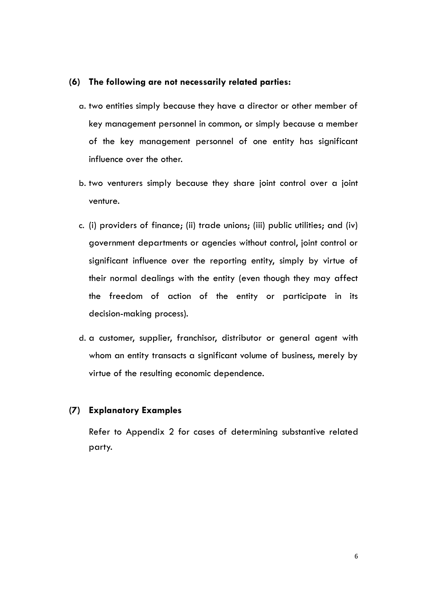#### **(6) The following are not necessarily related parties:**

- a. two entities simply because they have a director or other member of key management personnel in common, or simply because a member of the key management personnel of one entity has significant influence over the other.
- b. two venturers simply because they share joint control over a joint venture.
- c. (i) providers of finance; (ii) trade unions; (iii) public utilities; and (iv) government departments or agencies without control, joint control or significant influence over the reporting entity, simply by virtue of their normal dealings with the entity (even though they may affect the freedom of action of the entity or participate in its decision-making process).
- d. a customer, supplier, franchisor, distributor or general agent with whom an entity transacts a significant volume of business, merely by virtue of the resulting economic dependence.

#### **(7) Explanatory Examples**

Refer to Appendix 2 for cases of determining substantive related party.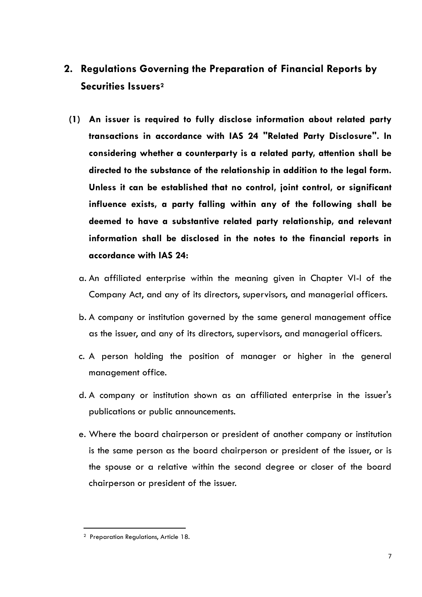# <span id="page-10-0"></span>**2. Regulations Governing the Preparation of Financial Reports by Securities Issuers<sup>2</sup>**

- **(1) An issuer is required to fully disclose information about related party transactions in accordance with IAS 24 "Related Party Disclosure". In considering whether a counterparty is a related party, attention shall be directed to the substance of the relationship in addition to the legal form. Unless it can be established that no control, joint control, or significant influence exists, a party falling within any of the following shall be deemed to have a substantive related party relationship, and relevant information shall be disclosed in the notes to the financial reports in accordance with IAS 24:**
	- a. An affiliated enterprise within the meaning given in Chapter VI-I of the Company Act, and any of its directors, supervisors, and managerial officers.
	- b. A company or institution governed by the same general management office as the issuer, and any of its directors, supervisors, and managerial officers.
	- c. A person holding the position of manager or higher in the general management office.
	- d. A company or institution shown as an affiliated enterprise in the issuer's publications or public announcements.
	- e. Where the board chairperson or president of another company or institution is the same person as the board chairperson or president of the issuer, or is the spouse or a relative within the second degree or closer of the board chairperson or president of the issuer.

<sup>2</sup> Preparation Regulations, Article 18.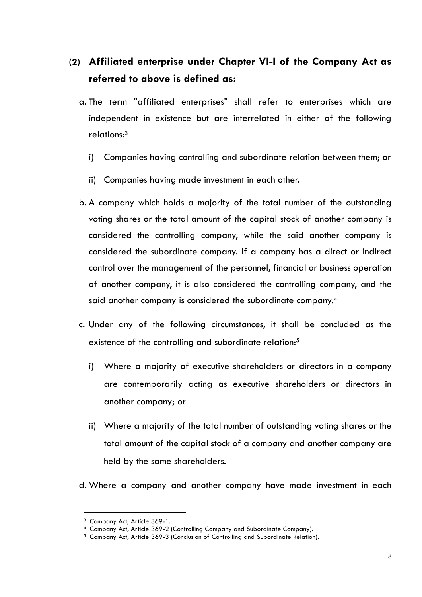# **(2) Affiliated enterprise under Chapter VI-I of the Company Act as referred to above is defined as:**

- a. The term "affiliated enterprises" shall refer to enterprises which are independent in existence but are interrelated in either of the following relations:<sup>3</sup>
	- i) Companies having controlling and subordinate relation between them; or
	- ii) Companies having made investment in each other.
- b. A company which holds a majority of the total number of the outstanding voting shares or the total amount of the capital stock of another company is considered the controlling company, while the said another company is considered the subordinate company. If a company has a direct or indirect control over the management of the personnel, financial or business operation of another company, it is also considered the controlling company, and the said another company is considered the subordinate company.<sup>4</sup>
- c. Under any of the following circumstances, it shall be concluded as the existence of the controlling and subordinate relation:<sup>5</sup>
	- i) Where a majority of executive shareholders or directors in a company are contemporarily acting as executive shareholders or directors in another company; or
	- ii) Where a majority of the total number of outstanding voting shares or the total amount of the capital stock of a company and another company are held by the same shareholders.
- d. Where a company and another company have made investment in each

<sup>3</sup> Company Act, Article 369-1.

<sup>4</sup> Company Act, Article 369-2 (Controlling Company and Subordinate Company).

<sup>5</sup> Company Act, Article 369-3 (Conclusion of Controlling and Subordinate Relation).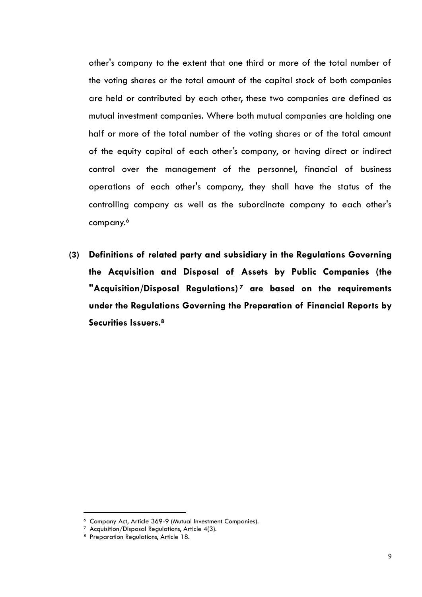other's company to the extent that one third or more of the total number of the voting shares or the total amount of the capital stock of both companies are held or contributed by each other, these two companies are defined as mutual investment companies. Where both mutual companies are holding one half or more of the total number of the voting shares or of the total amount of the equity capital of each other's company, or having direct or indirect control over the management of the personnel, financial of business operations of each other's company, they shall have the status of the controlling company as well as the subordinate company to each other's company.<sup>6</sup>

**(3) Definitions of related party and subsidiary in the Regulations Governing the Acquisition and Disposal of Assets by Public Companies (the "Acquisition/Disposal Regulations) <sup>7</sup> are based on the requirements under the Regulations Governing the Preparation of Financial Reports by Securities Issuers.<sup>8</sup>**

<sup>6</sup> Company Act, Article 369-9 (Mutual Investment Companies).

 $7$  Acquisition/Disposal Regulations, Article 4(3).

<sup>8</sup> Preparation Regulations, Article 18.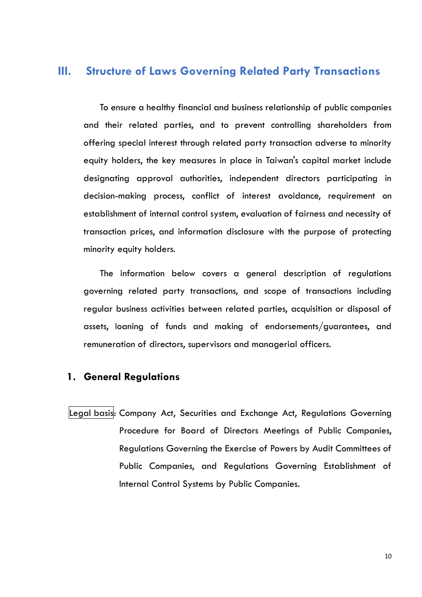## <span id="page-13-0"></span>**III. Structure of Laws Governing Related Party Transactions**

To ensure a healthy financial and business relationship of public companies and their related parties, and to prevent controlling shareholders from offering special interest through related party transaction adverse to minority equity holders, the key measures in place in Taiwan's capital market include designating approval authorities, independent directors participating in decision-making process, conflict of interest avoidance, requirement on establishment of internal control system, evaluation of fairness and necessity of transaction prices, and information disclosure with the purpose of protecting minority equity holders.

The information below covers a general description of regulations governing related party transactions, and scope of transactions including regular business activities between related parties, acquisition or disposal of assets, loaning of funds and making of endorsements/guarantees, and remuneration of directors, supervisors and managerial officers.

#### <span id="page-13-1"></span>**1. General Regulations**

Legal basis: Company Act, Securities and Exchange Act, Regulations Governing Procedure for Board of Directors Meetings of Public Companies, Regulations Governing the Exercise of Powers by Audit Committees of Public Companies, and Regulations Governing Establishment of Internal Control Systems by Public Companies.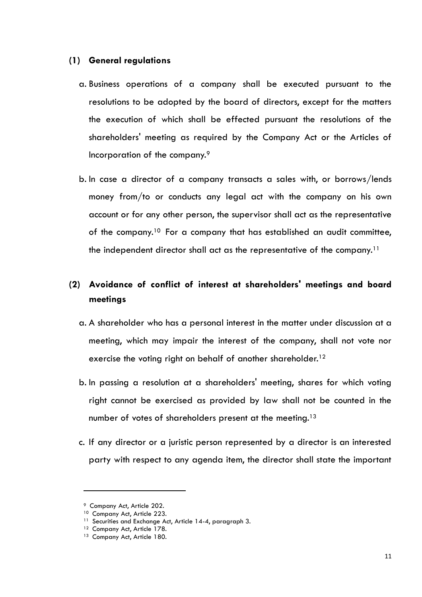#### **(1) General regulations**

- a. Business operations of a company shall be executed pursuant to the resolutions to be adopted by the board of directors, except for the matters the execution of which shall be effected pursuant the resolutions of the shareholders' meeting as required by the Company Act or the Articles of Incorporation of the company.<sup>9</sup>
- b. In case a director of a company transacts a sales with, or borrows/lends money from/to or conducts any legal act with the company on his own account or for any other person, the supervisor shall act as the representative of the company.<sup>10</sup> For a company that has established an audit committee, the independent director shall act as the representative of the company.<sup>11</sup>

## **(2) Avoidance of conflict of interest at shareholders' meetings and board meetings**

- a. A shareholder who has a personal interest in the matter under discussion at a meeting, which may impair the interest of the company, shall not vote nor exercise the voting right on behalf of another shareholder.<sup>12</sup>
- b. In passing a resolution at a shareholders' meeting, shares for which voting right cannot be exercised as provided by law shall not be counted in the number of votes of shareholders present at the meeting.<sup>13</sup>
- c. If any director or a juristic person represented by a director is an interested party with respect to any agenda item, the director shall state the important

 $\overline{a}$ 

<sup>9</sup> Company Act, Article 202.

<sup>&</sup>lt;sup>10</sup> Company Act, Article 223.

<sup>&</sup>lt;sup>11</sup> Securities and Exchange Act, Article 14-4, paragraph 3.

<sup>&</sup>lt;sup>12</sup> Company Act, Article 178.

<sup>&</sup>lt;sup>13</sup> Company Act, Article 180.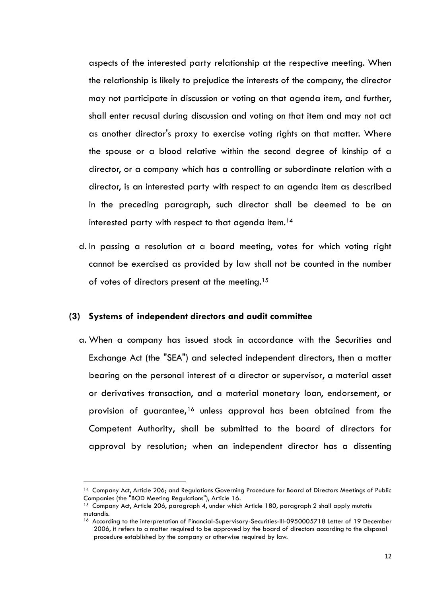aspects of the interested party relationship at the respective meeting. When the relationship is likely to prejudice the interests of the company, the director may not participate in discussion or voting on that agenda item, and further, shall enter recusal during discussion and voting on that item and may not act as another director's proxy to exercise voting rights on that matter. Where the spouse or a blood relative within the second degree of kinship of a director, or a company which has a controlling or subordinate relation with a director, is an interested party with respect to an agenda item as described in the preceding paragraph, such director shall be deemed to be an interested party with respect to that agenda item.<sup>14</sup>

d. In passing a resolution at a board meeting, votes for which voting right cannot be exercised as provided by law shall not be counted in the number of votes of directors present at the meeting.<sup>15</sup>

#### **(3) Systems of independent directors and audit committee**

 $\overline{a}$ 

a. When a company has issued stock in accordance with the Securities and Exchange Act (the "SEA") and selected independent directors, then a matter bearing on the personal interest of a director or supervisor, a material asset or derivatives transaction, and a material monetary loan, endorsement, or provision of guarantee,<sup>16</sup> unless approval has been obtained from the Competent Authority, shall be submitted to the board of directors for approval by resolution; when an independent director has a dissenting

<sup>14</sup> Company Act, Article 206; and Regulations Governing Procedure for Board of Directors Meetings of Public Companies (the "BOD Meeting Regulations"), Article 16.

<sup>&</sup>lt;sup>15</sup> Company Act, Article 206, paragraph 4, under which Article 180, paragraph 2 shall apply mutatis mutandis.

<sup>&</sup>lt;sup>16</sup> According to the interpretation of Financial-Supervisory-Securities-III-0950005718 Letter of 19 December 2006, it refers to a matter required to be approved by the board of directors according to the disposal procedure established by the company or otherwise required by law.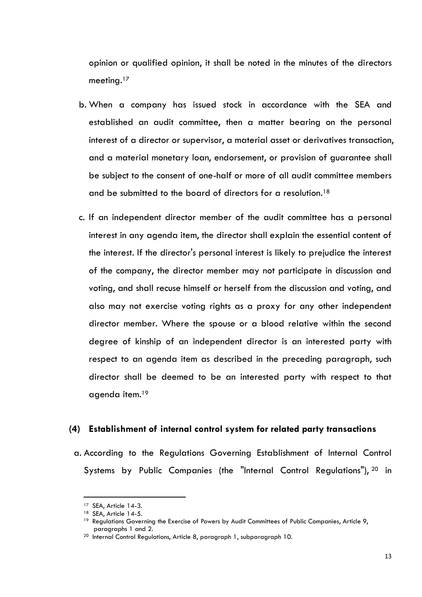opinion or qualified opinion, it shall be noted in the minutes of the directors meeting. $^{17}$ 

- b. When a company has issued stock in accordance with the SEA and established an audit committee, then a matter bearing on the personal interest of a director or supervisor, a material asset or derivatives transaction, and a material monetary loan, endorsement, or provision of guarantee shall be subject to the consent of one-half or more of all audit committee members and be submitted to the board of directors for a resolution.<sup>18</sup>
- c. If an independent director member of the audit committee has a personal interest in any agenda item, the director shall explain the essential content of the interest. If the director's personal interest is likely to prejudice the interest of the company, the director member may not participate in discussion and voting, and shall recuse himself or herself from the discussion and voting, and also may not exercise voting rights as a proxy for any other independent director member. Where the spouse or a blood relative within the second degree of kinship of an independent director is an interested party with respect to an agenda item as described in the preceding paragraph, such director shall be deemed to be an interested party with respect to that agenda item.<sup>19</sup>

#### **(4) Establishment of internal control system for related party transactions**

a. According to the Regulations Governing Establishment of Internal Control Systems by Public Companies (the "Internal Control Regulations"), 20 in

 $\overline{a}$ 

<sup>&</sup>lt;sup>17</sup> SEA, Article 14-3.

<sup>&</sup>lt;sup>18</sup> SEA, Article 14-5.

<sup>&</sup>lt;sup>19</sup> Regulations Governing the Exercise of Powers by Audit Committees of Public Companies, Article 9, paragraphs 1 and 2.

<sup>&</sup>lt;sup>20</sup> Internal Control Regulations, Article 8, paragraph 1, subparagraph 10.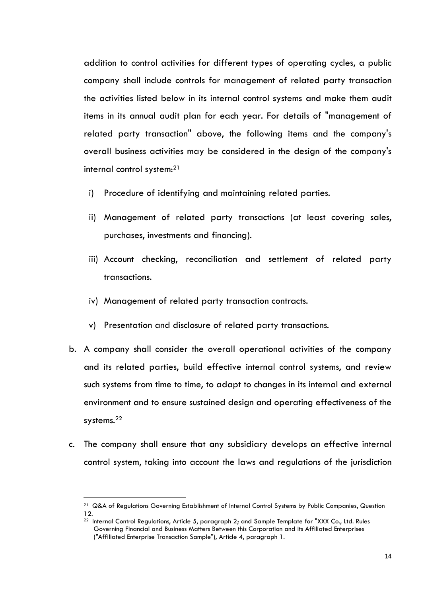addition to control activities for different types of operating cycles, a public company shall include controls for management of related party transaction the activities listed below in its internal control systems and make them audit items in its annual audit plan for each year. For details of "management of related party transaction" above, the following items and the company's overall business activities may be considered in the design of the company's internal control system:<sup>21</sup>

- i) Procedure of identifying and maintaining related parties.
- ii) Management of related party transactions (at least covering sales, purchases, investments and financing).
- iii) Account checking, reconciliation and settlement of related party transactions.
- iv) Management of related party transaction contracts.
- v) Presentation and disclosure of related party transactions.
- b. A company shall consider the overall operational activities of the company and its related parties, build effective internal control systems, and review such systems from time to time, to adapt to changes in its internal and external environment and to ensure sustained design and operating effectiveness of the systems.<sup>22</sup>
- c. The company shall ensure that any subsidiary develops an effective internal control system, taking into account the laws and regulations of the jurisdiction

 $\overline{a}$ 

<sup>&</sup>lt;sup>21</sup> Q&A of Regulations Governing Establishment of Internal Control Systems by Public Companies, Question 12.

<sup>&</sup>lt;sup>22</sup> Internal Control Regulations, Article 5, paragraph 2; and Sample Template for "XXX Co., Ltd. Rules Governing Financial and Business Matters Between this Corporation and its Affiliated Enterprises ("Affiliated Enterprise Transaction Sample"), Article 4, paragraph 1.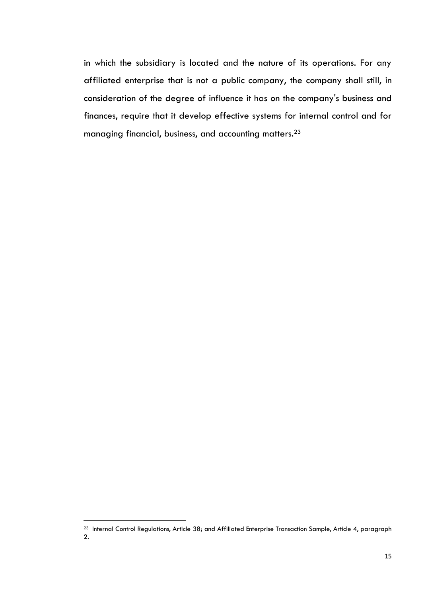in which the subsidiary is located and the nature of its operations. For any affiliated enterprise that is not a public company, the company shall still, in consideration of the degree of influence it has on the company's business and finances, require that it develop effective systems for internal control and for managing financial, business, and accounting matters.<sup>23</sup>

<sup>&</sup>lt;sup>23</sup> Internal Control Regulations, Article 38; and Affiliated Enterprise Transaction Sample, Article 4, paragraph 2.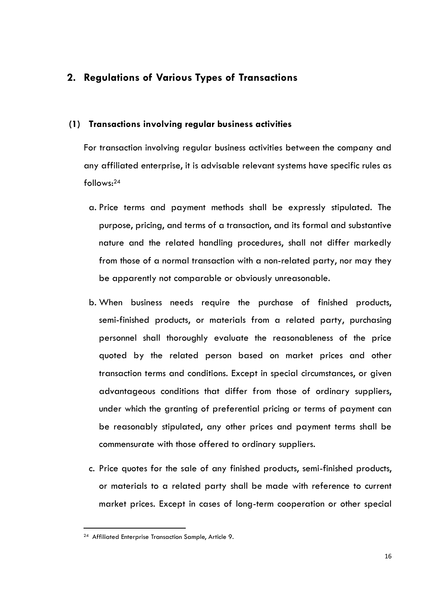## <span id="page-19-1"></span><span id="page-19-0"></span>**2. Regulations of Various Types of Transactions**

#### **(1) Transactions involving regular business activities**

For transaction involving regular business activities between the company and any affiliated enterprise, it is advisable relevant systems have specific rules as follows:<sup>24</sup>

- a. Price terms and payment methods shall be expressly stipulated. The purpose, pricing, and terms of a transaction, and its formal and substantive nature and the related handling procedures, shall not differ markedly from those of a normal transaction with a non-related party, nor may they be apparently not comparable or obviously unreasonable.
- b. When business needs require the purchase of finished products, semi-finished products, or materials from a related party, purchasing personnel shall thoroughly evaluate the reasonableness of the price quoted by the related person based on market prices and other transaction terms and conditions. Except in special circumstances, or given advantageous conditions that differ from those of ordinary suppliers, under which the granting of preferential pricing or terms of payment can be reasonably stipulated, any other prices and payment terms shall be commensurate with those offered to ordinary suppliers.
- c. Price quotes for the sale of any finished products, semi-finished products, or materials to a related party shall be made with reference to current market prices. Except in cases of long-term cooperation or other special

<sup>&</sup>lt;sup>24</sup> Affiliated Enterprise Transaction Sample, Article 9.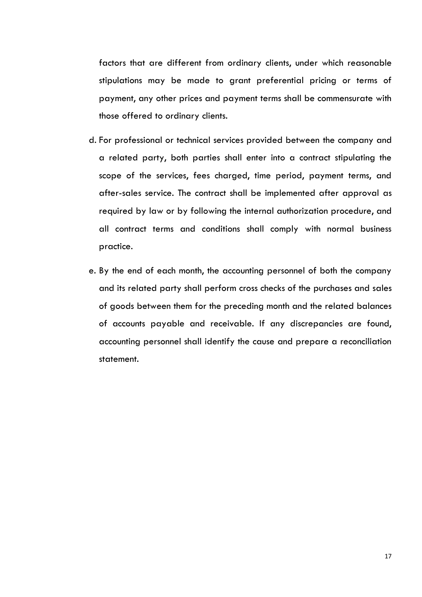factors that are different from ordinary clients, under which reasonable stipulations may be made to grant preferential pricing or terms of payment, any other prices and payment terms shall be commensurate with those offered to ordinary clients.

- d. For professional or technical services provided between the company and a related party, both parties shall enter into a contract stipulating the scope of the services, fees charged, time period, payment terms, and after-sales service. The contract shall be implemented after approval as required by law or by following the internal authorization procedure, and all contract terms and conditions shall comply with normal business practice.
- e. By the end of each month, the accounting personnel of both the company and its related party shall perform cross checks of the purchases and sales of goods between them for the preceding month and the related balances of accounts payable and receivable. If any discrepancies are found, accounting personnel shall identify the cause and prepare a reconciliation statement.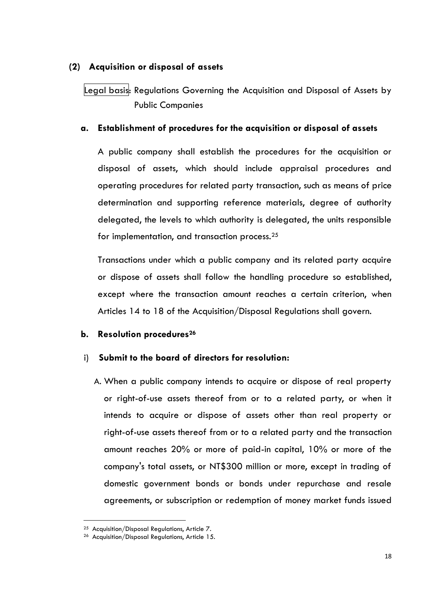#### <span id="page-21-0"></span>**(2) Acquisition or disposal of assets**

Legal basis: Regulations Governing the Acquisition and Disposal of Assets by Public Companies

#### **a. Establishment of procedures for the acquisition or disposal of assets**

A public company shall establish the procedures for the acquisition or disposal of assets, which should include appraisal procedures and operating procedures for related party transaction, such as means of price determination and supporting reference materials, degree of authority delegated, the levels to which authority is delegated, the units responsible for implementation, and transaction process.<sup>25</sup>

Transactions under which a public company and its related party acquire or dispose of assets shall follow the handling procedure so established, except where the transaction amount reaches a certain criterion, when Articles 14 to 18 of the Acquisition/Disposal Regulations shall govern.

#### **b. Resolution procedures<sup>26</sup>**

#### i) **Submit to the board of directors for resolution:**

A. When a public company intends to acquire or dispose of real property or right-of-use assets thereof from or to a related party, or when it intends to acquire or dispose of assets other than real property or right-of-use assets thereof from or to a related party and the transaction amount reaches 20% or more of paid-in capital, 10% or more of the company's total assets, or NT\$300 million or more, except in trading of domestic government bonds or bonds under repurchase and resale agreements, or subscription or redemption of money market funds issued

<sup>&</sup>lt;sup>25</sup> Acquisition/Disposal Regulations, Article 7.

<sup>26</sup> Acquisition/Disposal Regulations, Article 15.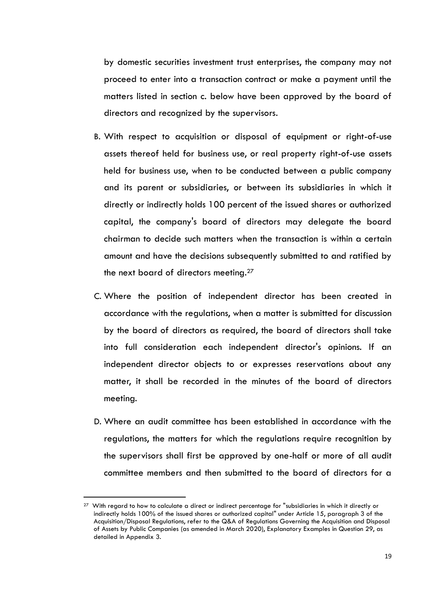by domestic securities investment trust enterprises, the company may not proceed to enter into a transaction contract or make a payment until the matters listed in section c. below have been approved by the board of directors and recognized by the supervisors.

- B. With respect to acquisition or disposal of equipment or right-of-use assets thereof held for business use, or real property right-of-use assets held for business use, when to be conducted between a public company and its parent or subsidiaries, or between its subsidiaries in which it directly or indirectly holds 100 percent of the issued shares or authorized capital, the company's board of directors may delegate the board chairman to decide such matters when the transaction is within a certain amount and have the decisions subsequently submitted to and ratified by the next board of directors meeting.<sup>27</sup>
- C. Where the position of independent director has been created in accordance with the regulations, when a matter is submitted for discussion by the board of directors as required, the board of directors shall take into full consideration each independent director's opinions. If an independent director objects to or expresses reservations about any matter, it shall be recorded in the minutes of the board of directors meeting.
- D. Where an audit committee has been established in accordance with the regulations, the matters for which the regulations require recognition by the supervisors shall first be approved by one-half or more of all audit committee members and then submitted to the board of directors for a

 $\overline{a}$ 

<sup>&</sup>lt;sup>27</sup> With regard to how to calculate a direct or indirect percentage for "subsidiaries in which it directly or indirectly holds 100% of the issued shares or authorized capital" under Article 15, paragraph 3 of the Acquisition/Disposal Regulations, refer to the Q&A of Regulations Governing the Acquisition and Disposal of Assets by Public Companies (as amended in March 2020), Explanatory Examples in Question 29, as detailed in Appendix 3.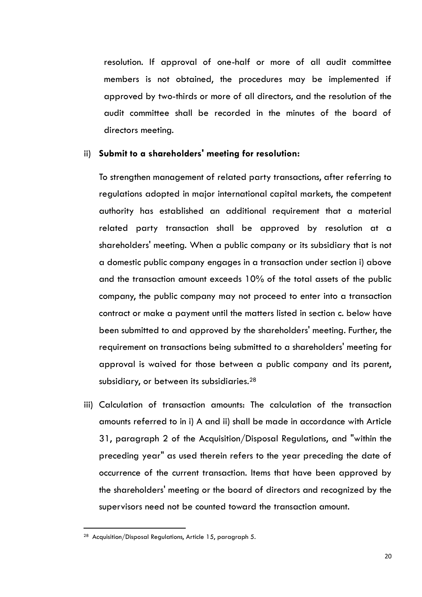resolution. If approval of one-half or more of all audit committee members is not obtained, the procedures may be implemented if approved by two-thirds or more of all directors, and the resolution of the audit committee shall be recorded in the minutes of the board of directors meeting.

#### ii) **Submit to a shareholders' meeting for resolution:**

To strengthen management of related party transactions, after referring to regulations adopted in major international capital markets, the competent authority has established an additional requirement that a material related party transaction shall be approved by resolution at a shareholders' meeting. When a public company or its subsidiary that is not a domestic public company engages in a transaction under section i) above and the transaction amount exceeds 10% of the total assets of the public company, the public company may not proceed to enter into a transaction contract or make a payment until the matters listed in section c. below have been submitted to and approved by the shareholders' meeting. Further, the requirement on transactions being submitted to a shareholders' meeting for approval is waived for those between a public company and its parent, subsidiary, or between its subsidiaries.<sup>28</sup>

iii) Calculation of transaction amounts: The calculation of the transaction amounts referred to in i) A and ii) shall be made in accordance with Article 31, paragraph 2 of the Acquisition/Disposal Regulations, and "within the preceding year" as used therein refers to the year preceding the date of occurrence of the current transaction. Items that have been approved by the shareholders' meeting or the board of directors and recognized by the supervisors need not be counted toward the transaction amount.

<sup>28</sup> Acquisition/Disposal Regulations, Article 15, paragraph 5.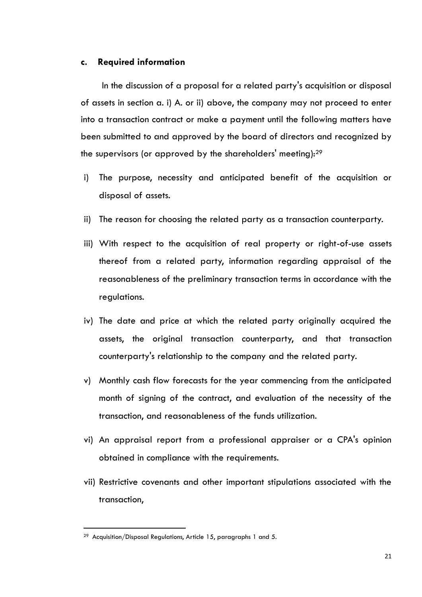#### **c. Required information**

In the discussion of a proposal for a related party's acquisition or disposal of assets in section a. i) A. or ii) above, the company may not proceed to enter into a transaction contract or make a payment until the following matters have been submitted to and approved by the board of directors and recognized by the supervisors (or approved by the shareholders' meeting):<sup>29</sup>

- i) The purpose, necessity and anticipated benefit of the acquisition or disposal of assets.
- ii) The reason for choosing the related party as a transaction counterparty.
- iii) With respect to the acquisition of real property or right-of-use assets thereof from a related party, information regarding appraisal of the reasonableness of the preliminary transaction terms in accordance with the regulations.
- iv) The date and price at which the related party originally acquired the assets, the original transaction counterparty, and that transaction counterparty's relationship to the company and the related party.
- v) Monthly cash flow forecasts for the year commencing from the anticipated month of signing of the contract, and evaluation of the necessity of the transaction, and reasonableness of the funds utilization.
- vi) An appraisal report from a professional appraiser or a CPA's opinion obtained in compliance with the requirements.
- vii) Restrictive covenants and other important stipulations associated with the transaction,

 $29$  Acquisition/Disposal Regulations, Article 15, paragraphs 1 and 5.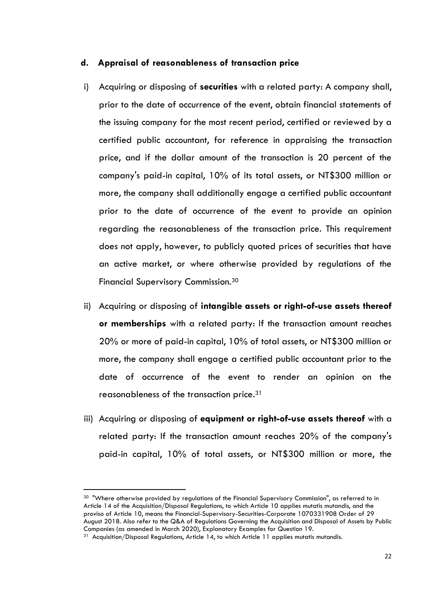#### **d. Appraisal of reasonableness of transaction price**

- i) Acquiring or disposing of **securities** with a related party: A company shall, prior to the date of occurrence of the event, obtain financial statements of the issuing company for the most recent period, certified or reviewed by a certified public accountant, for reference in appraising the transaction price, and if the dollar amount of the transaction is 20 percent of the company's paid-in capital, 10% of its total assets, or NT\$300 million or more, the company shall additionally engage a certified public accountant prior to the date of occurrence of the event to provide an opinion regarding the reasonableness of the transaction price. This requirement does not apply, however, to publicly quoted prices of securities that have an active market, or where otherwise provided by regulations of the Financial Supervisory Commission.<sup>30</sup>
- ii) Acquiring or disposing of **intangible assets or right-of-use assets thereof or memberships** with a related party: If the transaction amount reaches 20% or more of paid-in capital, 10% of total assets, or NT\$300 million or more, the company shall engage a certified public accountant prior to the date of occurrence of the event to render an opinion on the reasonableness of the transaction price.<sup>31</sup>
- iii) Acquiring or disposing of **equipment or right-of-use assets thereof** with a related party: If the transaction amount reaches 20% of the company's paid-in capital, 10% of total assets, or NT\$300 million or more, the

<sup>&</sup>lt;sup>30</sup> "Where otherwise provided by regulations of the Financial Supervisory Commission", as referred to in Article 14 of the Acquisition/Disposal Regulations, to which Article 10 applies mutatis mutandis, and the proviso of Article 10, means the Financial-Supervisory-Securities-Corporate 1070331908 Order of 29 August 2018. Also refer to the Q&A of Regulations Governing the Acquisition and Disposal of Assets by Public Companies (as amended in March 2020), Explanatory Examples for Question 19.

 $31$  Acquisition/Disposal Regulations, Article 14, to which Article 11 applies mutatis mutandis.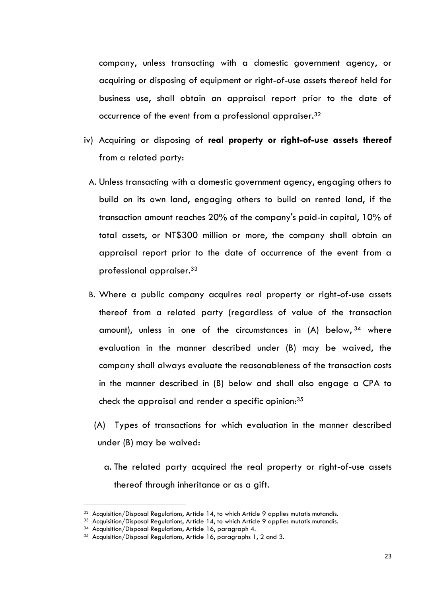company, unless transacting with a domestic government agency, or acquiring or disposing of equipment or right-of-use assets thereof held for business use, shall obtain an appraisal report prior to the date of occurrence of the event from a professional appraiser.<sup>32</sup>

- iv) Acquiring or disposing of **real property or right-of-use assets thereof** from a related party:
	- A. Unless transacting with a domestic government agency, engaging others to build on its own land, engaging others to build on rented land, if the transaction amount reaches 20% of the company's paid-in capital, 10% of total assets, or NT\$300 million or more, the company shall obtain an appraisal report prior to the date of occurrence of the event from a professional appraiser.<sup>33</sup>
	- B. Where a public company acquires real property or right-of-use assets thereof from a related party (regardless of value of the transaction amount), unless in one of the circumstances in (A) below, <sup>34</sup> where evaluation in the manner described under (B) may be waived, the company shall always evaluate the reasonableness of the transaction costs in the manner described in (B) below and shall also engage a CPA to check the appraisal and render a specific opinion: $^{35}$ 
		- (A) Types of transactions for which evaluation in the manner described under (B) may be waived:
			- a. The related party acquired the real property or right-of-use assets thereof through inheritance or as a gift.

 $\overline{a}$ 

 $32$  Acquisition/Disposal Regulations, Article 14, to which Article 9 applies mutatis mutandis.

 $33$  Acquisition/Disposal Regulations, Article 14, to which Article 9 applies mutatis mutandis.

<sup>&</sup>lt;sup>34</sup> Acquisition/Disposal Regulations, Article 16, paragraph 4.

<sup>&</sup>lt;sup>35</sup> Acquisition/Disposal Regulations, Article 16, paragraphs 1, 2 and 3.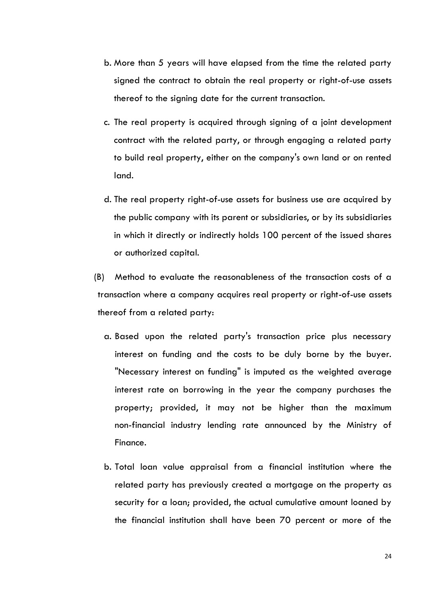- b. More than 5 years will have elapsed from the time the related party signed the contract to obtain the real property or right-of-use assets thereof to the signing date for the current transaction.
- c. The real property is acquired through signing of a joint development contract with the related party, or through engaging a related party to build real property, either on the company's own land or on rented land.
- d. The real property right-of-use assets for business use are acquired by the public company with its parent or subsidiaries, or by its subsidiaries in which it directly or indirectly holds 100 percent of the issued shares or authorized capital.

(B) Method to evaluate the reasonableness of the transaction costs of a transaction where a company acquires real property or right-of-use assets thereof from a related party:

- a. Based upon the related party's transaction price plus necessary interest on funding and the costs to be duly borne by the buyer. "Necessary interest on funding" is imputed as the weighted average interest rate on borrowing in the year the company purchases the property; provided, it may not be higher than the maximum non-financial industry lending rate announced by the Ministry of Finance.
- b. Total loan value appraisal from a financial institution where the related party has previously created a mortgage on the property as security for a loan; provided, the actual cumulative amount loaned by the financial institution shall have been 70 percent or more of the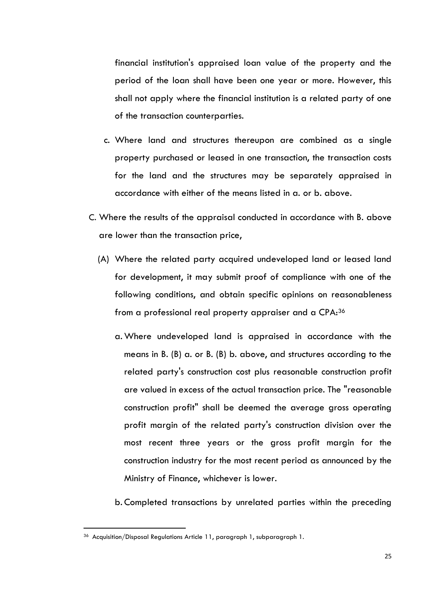financial institution's appraised loan value of the property and the period of the loan shall have been one year or more. However, this shall not apply where the financial institution is a related party of one of the transaction counterparties.

- c. Where land and structures thereupon are combined as a single property purchased or leased in one transaction, the transaction costs for the land and the structures may be separately appraised in accordance with either of the means listed in a. or b. above.
- C. Where the results of the appraisal conducted in accordance with B. above are lower than the transaction price,
	- (A) Where the related party acquired undeveloped land or leased land for development, it may submit proof of compliance with one of the following conditions, and obtain specific opinions on reasonableness from a professional real property appraiser and a CPA:<sup>36</sup>
		- a.Where undeveloped land is appraised in accordance with the means in B. (B) a. or B. (B) b. above, and structures according to the related party's construction cost plus reasonable construction profit are valued in excess of the actual transaction price. The "reasonable construction profit" shall be deemed the average gross operating profit margin of the related party's construction division over the most recent three years or the gross profit margin for the construction industry for the most recent period as announced by the Ministry of Finance, whichever is lower.
		- b. Completed transactions by unrelated parties within the preceding

<sup>36</sup> Acquisition/Disposal Regulations Article 11, paragraph 1, subparagraph 1.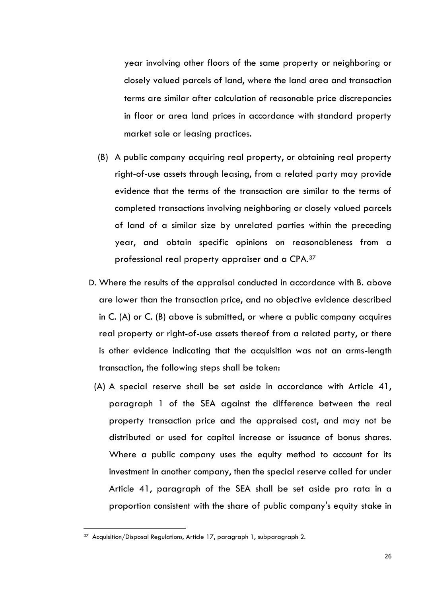year involving other floors of the same property or neighboring or closely valued parcels of land, where the land area and transaction terms are similar after calculation of reasonable price discrepancies in floor or area land prices in accordance with standard property market sale or leasing practices.

- (B) A public company acquiring real property, or obtaining real property right-of-use assets through leasing, from a related party may provide evidence that the terms of the transaction are similar to the terms of completed transactions involving neighboring or closely valued parcels of land of a similar size by unrelated parties within the preceding year, and obtain specific opinions on reasonableness from a professional real property appraiser and a CPA.<sup>37</sup>
- D. Where the results of the appraisal conducted in accordance with B. above are lower than the transaction price, and no objective evidence described in C. (A) or C. (B) above is submitted, or where a public company acquires real property or right-of-use assets thereof from a related party, or there is other evidence indicating that the acquisition was not an arms-length transaction, the following steps shall be taken:
	- (A) A special reserve shall be set aside in accordance with Article 41, paragraph 1 of the SEA against the difference between the real property transaction price and the appraised cost, and may not be distributed or used for capital increase or issuance of bonus shares. Where a public company uses the equity method to account for its investment in another company, then the special reserve called for under Article 41, paragraph of the SEA shall be set aside pro rata in a proportion consistent with the share of public company's equity stake in

<sup>&</sup>lt;sup>37</sup> Acquisition/Disposal Regulations, Article 17, paragraph 1, subparagraph 2.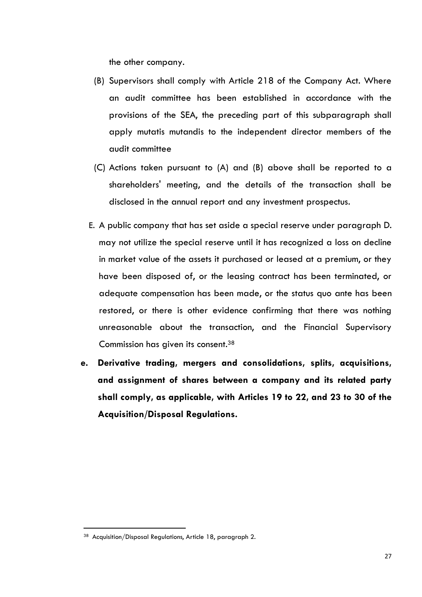the other company.

- (B) Supervisors shall comply with Article 218 of the Company Act. Where an audit committee has been established in accordance with the provisions of the SEA, the preceding part of this subparagraph shall apply mutatis mutandis to the independent director members of the audit committee
- (C) Actions taken pursuant to (A) and (B) above shall be reported to a shareholders' meeting, and the details of the transaction shall be disclosed in the annual report and any investment prospectus.
- E. A public company that has set aside a special reserve under paragraph D. may not utilize the special reserve until it has recognized a loss on decline in market value of the assets it purchased or leased at a premium, or they have been disposed of, or the leasing contract has been terminated, or adequate compensation has been made, or the status quo ante has been restored, or there is other evidence confirming that there was nothing unreasonable about the transaction, and the Financial Supervisory Commission has given its consent.<sup>38</sup>
- **e. Derivative trading, mergers and consolidations, splits, acquisitions, and assignment of shares between a company and its related party shall comply, as applicable, with Articles 19 to 22, and 23 to 30 of the Acquisition/Disposal Regulations.**

<sup>38</sup> Acquisition/Disposal Regulations, Article 18, paragraph 2.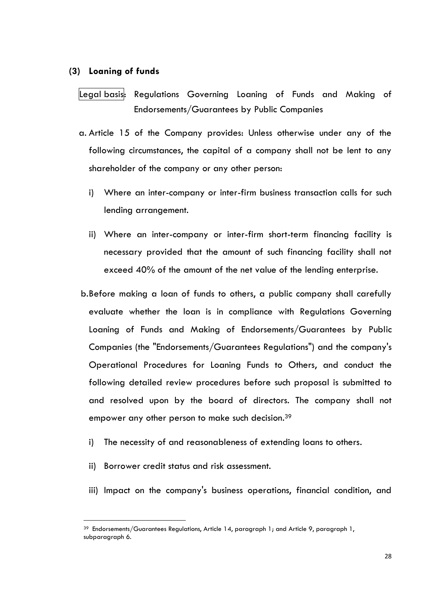#### <span id="page-31-0"></span>**(3) Loaning of funds**

Legal basis: Regulations Governing Loaning of Funds and Making of Endorsements/Guarantees by Public Companies

- a. Article 15 of the Company provides: Unless otherwise under any of the following circumstances, the capital of a company shall not be lent to any shareholder of the company or any other person:
	- i) Where an inter-company or inter-firm business transaction calls for such lending arrangement.
	- ii) Where an inter-company or inter-firm short-term financing facility is necessary provided that the amount of such financing facility shall not exceed 40% of the amount of the net value of the lending enterprise.
- b.Before making a loan of funds to others, a public company shall carefully evaluate whether the loan is in compliance with Regulations Governing Loaning of Funds and Making of Endorsements/Guarantees by Public Companies (the "Endorsements/Guarantees Regulations") and the company's Operational Procedures for Loaning Funds to Others, and conduct the following detailed review procedures before such proposal is submitted to and resolved upon by the board of directors. The company shall not empower any other person to make such decision.<sup>39</sup>
	- i) The necessity of and reasonableness of extending loans to others.
	- ii) Borrower credit status and risk assessment.

 $\ddot{\phantom{a}}$ 

iii) Impact on the company's business operations, financial condition, and

 $39$  Endorsements/Guarantees Regulations, Article 14, paragraph 1; and Article 9, paragraph 1, subparagraph 6.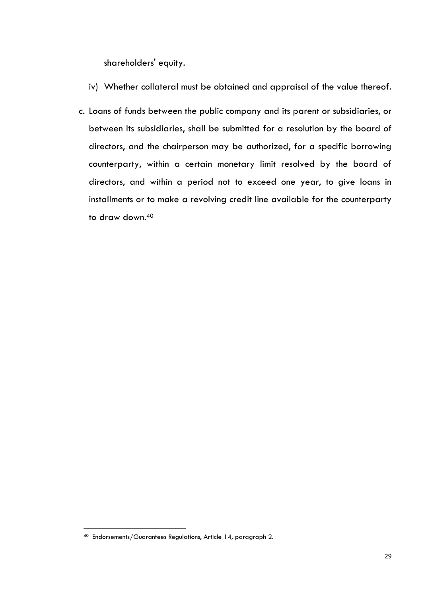shareholders' equity.

- iv) Whether collateral must be obtained and appraisal of the value thereof.
- c. Loans of funds between the public company and its parent or subsidiaries, or between its subsidiaries, shall be submitted for a resolution by the board of directors, and the chairperson may be authorized, for a specific borrowing counterparty, within a certain monetary limit resolved by the board of directors, and within a period not to exceed one year, to give loans in installments or to make a revolving credit line available for the counterparty to draw down. 40

<sup>40</sup> Endorsements/Guarantees Regulations, Article 14, paragraph 2.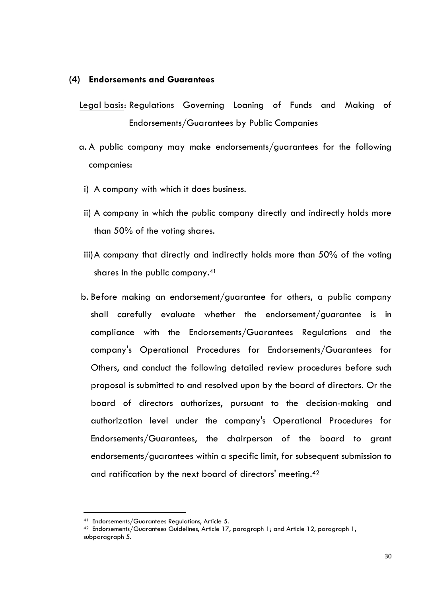#### <span id="page-33-0"></span>**(4) Endorsements and Guarantees**

Legal basis: Regulations Governing Loaning of Funds and Making of Endorsements/Guarantees by Public Companies

- a. A public company may make endorsements/guarantees for the following companies:
- i) A company with which it does business.
- ii) A company in which the public company directly and indirectly holds more than 50% of the voting shares.
- iii)A company that directly and indirectly holds more than 50% of the voting shares in the public company.<sup>41</sup>
- b. Before making an endorsement/guarantee for others, a public company shall carefully evaluate whether the endorsement/guarantee is in compliance with the Endorsements/Guarantees Regulations and the company's Operational Procedures for Endorsements/Guarantees for Others, and conduct the following detailed review procedures before such proposal is submitted to and resolved upon by the board of directors. Or the board of directors authorizes, pursuant to the decision-making and authorization level under the company's Operational Procedures for Endorsements/Guarantees, the chairperson of the board to grant endorsements/guarantees within a specific limit, for subsequent submission to and ratification by the next board of directors' meeting.<sup>42</sup>

<sup>41</sup> Endorsements/Guarantees Regulations, Article 5.

 $42$  Endorsements/Guarantees Guidelines, Article 17, paragraph 1; and Article 12, paragraph 1, subparagraph 5.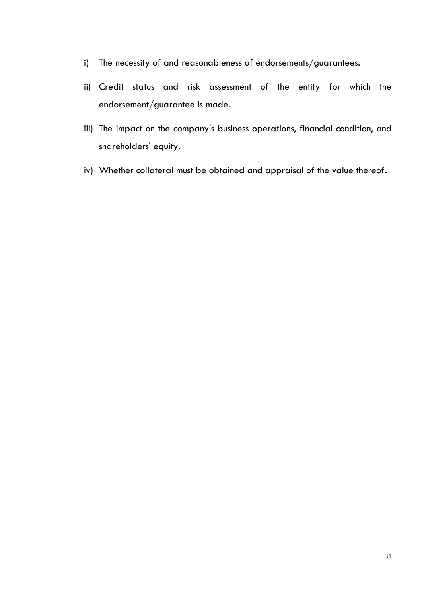- i) The necessity of and reasonableness of endorsements/guarantees.
- ii) Credit status and risk assessment of the entity for which the endorsement/guarantee is made.
- iii) The impact on the company's business operations, financial condition, and shareholders' equity.
- iv) Whether collateral must be obtained and appraisal of the value thereof.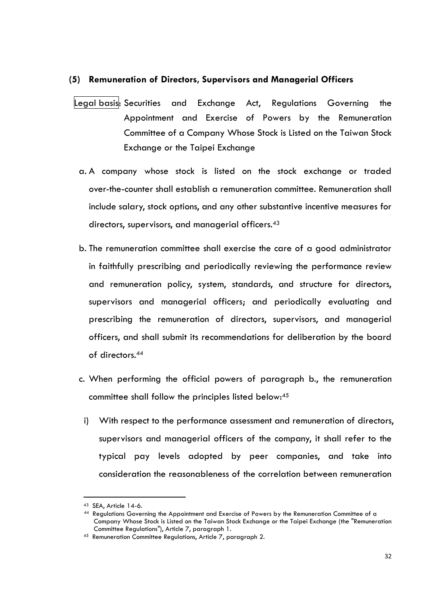#### <span id="page-35-0"></span>**(5) Remuneration of Directors, Supervisors and Managerial Officers**

- Legal basis: Securities and Exchange Act, Regulations Governing the Appointment and Exercise of Powers by the Remuneration Committee of a Company Whose Stock is Listed on the Taiwan Stock Exchange or the Taipei Exchange
	- a. A company whose stock is listed on the stock exchange or traded over-the-counter shall establish a remuneration committee. Remuneration shall include salary, stock options, and any other substantive incentive measures for directors, supervisors, and managerial officers.<sup>43</sup>
	- b. The remuneration committee shall exercise the care of a good administrator in faithfully prescribing and periodically reviewing the performance review and remuneration policy, system, standards, and structure for directors, supervisors and managerial officers; and periodically evaluating and prescribing the remuneration of directors, supervisors, and managerial officers, and shall submit its recommendations for deliberation by the board of directors.<sup>44</sup>
	- c. When performing the official powers of paragraph b., the remuneration committee shall follow the principles listed below:<sup>45</sup>
	- i) With respect to the performance assessment and remuneration of directors, supervisors and managerial officers of the company, it shall refer to the typical pay levels adopted by peer companies, and take into consideration the reasonableness of the correlation between remuneration

 $\overline{a}$ 

<sup>43</sup> SEA, Article 14-6.

<sup>44</sup> Regulations Governing the Appointment and Exercise of Powers by the Remuneration Committee of a Company Whose Stock is Listed on the Taiwan Stock Exchange or the Taipei Exchange (the "Remuneration Committee Regulations"), Article 7, paragraph 1.

<sup>45</sup> Remuneration Committee Regulations, Article 7, paragraph 2.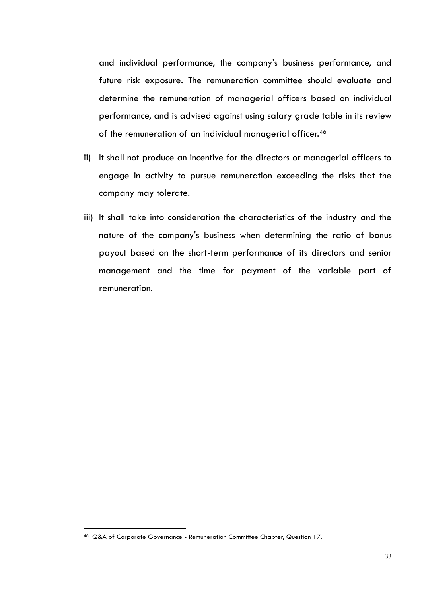and individual performance, the company's business performance, and future risk exposure. The remuneration committee should evaluate and determine the remuneration of managerial officers based on individual performance, and is advised against using salary grade table in its review of the remuneration of an individual managerial officer.<sup>46</sup>

- ii) It shall not produce an incentive for the directors or managerial officers to engage in activity to pursue remuneration exceeding the risks that the company may tolerate.
- iii) It shall take into consideration the characteristics of the industry and the nature of the company's business when determining the ratio of bonus payout based on the short-term performance of its directors and senior management and the time for payment of the variable part of remuneration.

<sup>46</sup> Q&A of Corporate Governance - Remuneration Committee Chapter, Question 17.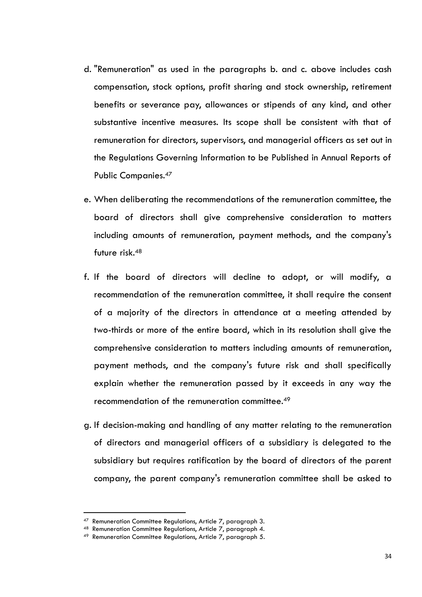- d. "Remuneration" as used in the paragraphs b. and c. above includes cash compensation, stock options, profit sharing and stock ownership, retirement benefits or severance pay, allowances or stipends of any kind, and other substantive incentive measures. Its scope shall be consistent with that of remuneration for directors, supervisors, and managerial officers as set out in the Regulations Governing Information to be Published in Annual Reports of Public Companies.<sup>47</sup>
- e. When deliberating the recommendations of the remuneration committee, the board of directors shall give comprehensive consideration to matters including amounts of remuneration, payment methods, and the company's future risk.<sup>48</sup>
- f. If the board of directors will decline to adopt, or will modify, a recommendation of the remuneration committee, it shall require the consent of a majority of the directors in attendance at a meeting attended by two-thirds or more of the entire board, which in its resolution shall give the comprehensive consideration to matters including amounts of remuneration, payment methods, and the company's future risk and shall specifically explain whether the remuneration passed by it exceeds in any way the recommendation of the remuneration committee.<sup>49</sup>
- g. If decision-making and handling of any matter relating to the remuneration of directors and managerial officers of a subsidiary is delegated to the subsidiary but requires ratification by the board of directors of the parent company, the parent company's remuneration committee shall be asked to

<sup>47</sup> Remuneration Committee Regulations, Article 7, paragraph 3.

<sup>48</sup> Remuneration Committee Regulations, Article 7, paragraph 4.

<sup>49</sup> Remuneration Committee Regulations, Article 7, paragraph 5.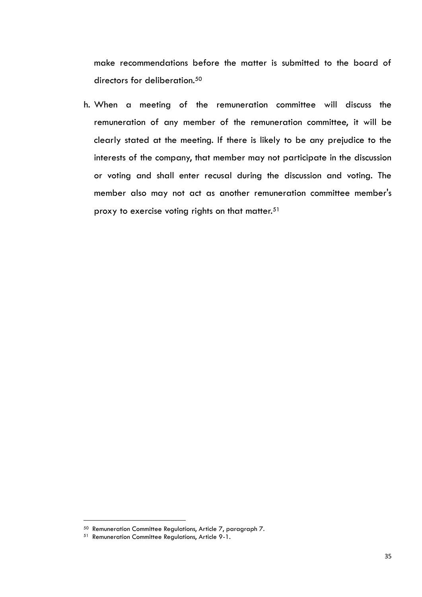make recommendations before the matter is submitted to the board of directors for deliberation.<sup>50</sup>

h. When a meeting of the remuneration committee will discuss the remuneration of any member of the remuneration committee, it will be clearly stated at the meeting. If there is likely to be any prejudice to the interests of the company, that member may not participate in the discussion or voting and shall enter recusal during the discussion and voting. The member also may not act as another remuneration committee member's proxy to exercise voting rights on that matter. $51$ 

<sup>50</sup> Remuneration Committee Regulations, Article 7, paragraph 7.

<sup>51</sup> Remuneration Committee Regulations, Article 9-1.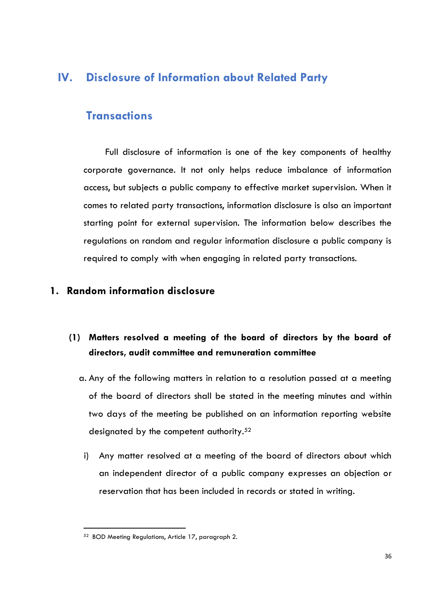## <span id="page-39-0"></span>**IV. Disclosure of Information about Related Party**

## **Transactions**

Full disclosure of information is one of the key components of healthy corporate governance. It not only helps reduce imbalance of information access, but subjects a public company to effective market supervision. When it comes to related party transactions, information disclosure is also an important starting point for external supervision. The information below describes the regulations on random and regular information disclosure a public company is required to comply with when engaging in related party transactions.

### <span id="page-39-1"></span>**1. Random information disclosure**

## **(1) Matters resolved a meeting of the board of directors by the board of directors, audit committee and remuneration committee**

- a. Any of the following matters in relation to a resolution passed at a meeting of the board of directors shall be stated in the meeting minutes and within two days of the meeting be published on an information reporting website designated by the competent authority.<sup>52</sup>
- i) Any matter resolved at a meeting of the board of directors about which an independent director of a public company expresses an objection or reservation that has been included in records or stated in writing.

<sup>52</sup> BOD Meeting Regulations, Article 17, paragraph 2.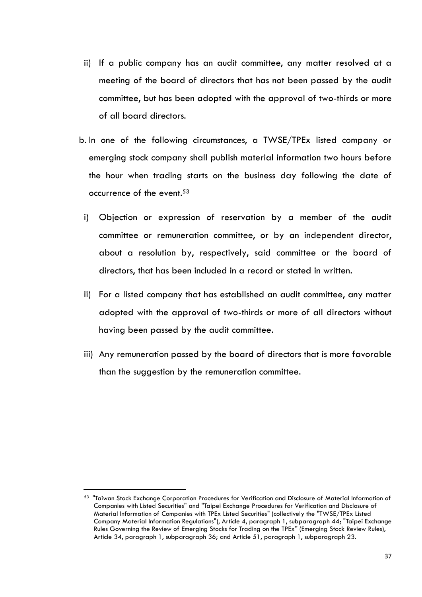- ii) If a public company has an audit committee, any matter resolved at a meeting of the board of directors that has not been passed by the audit committee, but has been adopted with the approval of two-thirds or more of all board directors.
- b. In one of the following circumstances, a TWSE/TPEx listed company or emerging stock company shall publish material information two hours before the hour when trading starts on the business day following the date of occurrence of the event. 53
	- i) Objection or expression of reservation by a member of the audit committee or remuneration committee, or by an independent director, about a resolution by, respectively, said committee or the board of directors, that has been included in a record or stated in written.
	- ii) For a listed company that has established an audit committee, any matter adopted with the approval of two-thirds or more of all directors without having been passed by the audit committee.
- iii) Any remuneration passed by the board of directors that is more favorable than the suggestion by the remuneration committee.

<sup>53</sup> "Taiwan Stock Exchange Corporation Procedures for Verification and Disclosure of Material Information of Companies with Listed Securities" and "Taipei Exchange Procedures for Verification and Disclosure of Material Information of Companies with TPEx Listed Securities" (collectively the "TWSE/TPEx Listed Company Material Information Regulations"), Article 4, paragraph 1, subparagraph 44; "Taipei Exchange Rules Governing the Review of Emerging Stocks for Trading on the TPEx" (Emerging Stock Review Rules), Article 34, paragraph 1, subparagraph 36; and Article 51, paragraph 1, subparagraph 23.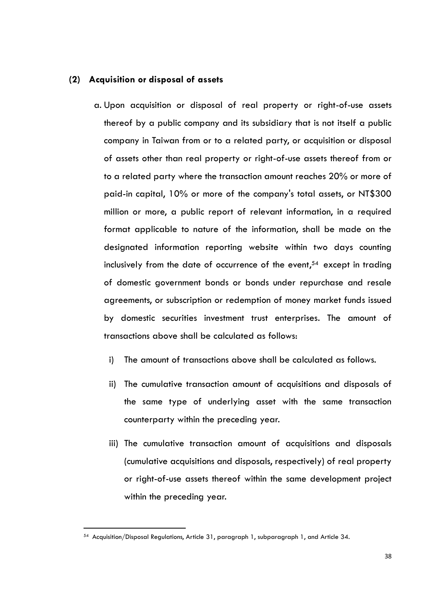#### **(2) Acquisition or disposal of assets**

- a. Upon acquisition or disposal of real property or right-of-use assets thereof by a public company and its subsidiary that is not itself a public company in Taiwan from or to a related party, or acquisition or disposal of assets other than real property or right-of-use assets thereof from or to a related party where the transaction amount reaches 20% or more of paid-in capital, 10% or more of the company's total assets, or NT\$300 million or more, a public report of relevant information, in a required format applicable to nature of the information, shall be made on the designated information reporting website within two days counting inclusively from the date of occurrence of the event, <sup>54</sup> except in trading of domestic government bonds or bonds under repurchase and resale agreements, or subscription or redemption of money market funds issued by domestic securities investment trust enterprises. The amount of transactions above shall be calculated as follows:
	- i) The amount of transactions above shall be calculated as follows.
	- ii) The cumulative transaction amount of acquisitions and disposals of the same type of underlying asset with the same transaction counterparty within the preceding year.
	- iii) The cumulative transaction amount of acquisitions and disposals (cumulative acquisitions and disposals, respectively) of real property or right-of-use assets thereof within the same development project within the preceding year.

<sup>54</sup> Acquisition/Disposal Regulations, Article 31, paragraph 1, subparagraph 1, and Article 34.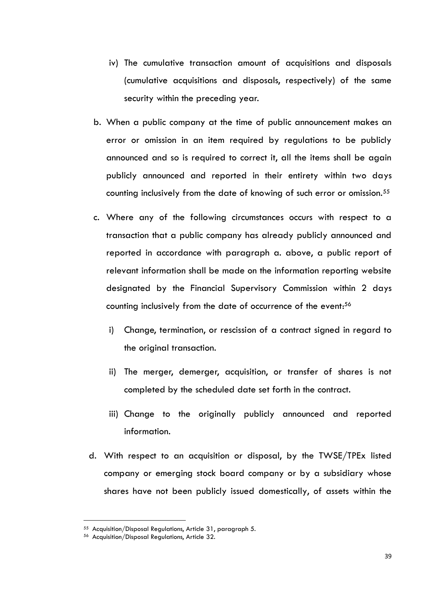- iv) The cumulative transaction amount of acquisitions and disposals (cumulative acquisitions and disposals, respectively) of the same security within the preceding year.
- b. When a public company at the time of public announcement makes an error or omission in an item required by regulations to be publicly announced and so is required to correct it, all the items shall be again publicly announced and reported in their entirety within two days counting inclusively from the date of knowing of such error or omission.<sup>55</sup>
- c. Where any of the following circumstances occurs with respect to a transaction that a public company has already publicly announced and reported in accordance with paragraph a. above, a public report of relevant information shall be made on the information reporting website designated by the Financial Supervisory Commission within 2 days counting inclusively from the date of occurrence of the event:<sup>56</sup>
	- i) Change, termination, or rescission of a contract signed in regard to the original transaction.
	- ii) The merger, demerger, acquisition, or transfer of shares is not completed by the scheduled date set forth in the contract.
	- iii) Change to the originally publicly announced and reported information.
- d. With respect to an acquisition or disposal, by the TWSE/TPEx listed company or emerging stock board company or by a subsidiary whose shares have not been publicly issued domestically, of assets within the

<sup>55</sup> Acquisition/Disposal Regulations, Article 31, paragraph 5.

<sup>56</sup> Acquisition/Disposal Regulations, Article 32.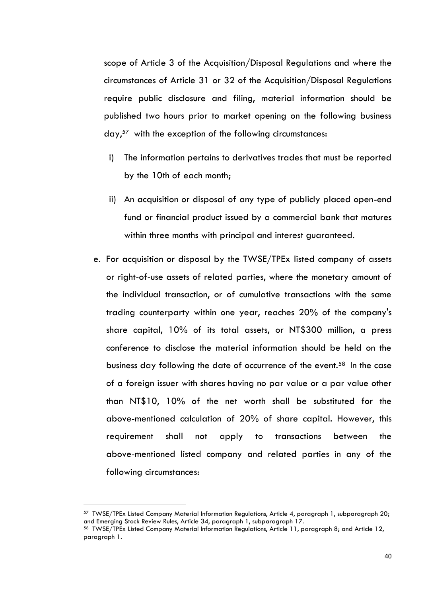scope of Article 3 of the Acquisition/Disposal Regulations and where the circumstances of Article 31 or 32 of the Acquisition/Disposal Regulations require public disclosure and filing, material information should be published two hours prior to market opening on the following business day, <sup>57</sup> with the exception of the following circumstances:

- i) The information pertains to derivatives trades that must be reported by the 10th of each month;
- ii) An acquisition or disposal of any type of publicly placed open-end fund or financial product issued by a commercial bank that matures within three months with principal and interest guaranteed.
- e. For acquisition or disposal by the TWSE/TPEx listed company of assets or right-of-use assets of related parties, where the monetary amount of the individual transaction, or of cumulative transactions with the same trading counterparty within one year, reaches 20% of the company's share capital, 10% of its total assets, or NT\$300 million, a press conference to disclose the material information should be held on the business day following the date of occurrence of the event.<sup>58</sup> In the case of a foreign issuer with shares having no par value or a par value other than NT\$10, 10% of the net worth shall be substituted for the above-mentioned calculation of 20% of share capital. However, this requirement shall not apply to transactions between the above-mentioned listed company and related parties in any of the following circumstances:

 $\overline{a}$ 

<sup>57</sup> TWSE/TPEx Listed Company Material Information Regulations, Article 4, paragraph 1, subparagraph 20; and Emerging Stock Review Rules, Article 34, paragraph 1, subparagraph 17.

<sup>58</sup> TWSE/TPEx Listed Company Material Information Regulations, Article 11, paragraph 8; and Article 12, paragraph 1.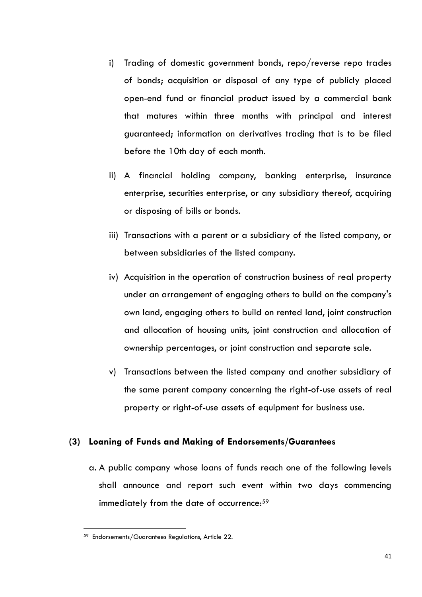- i) Trading of domestic government bonds, repo/reverse repo trades of bonds; acquisition or disposal of any type of publicly placed open-end fund or financial product issued by a commercial bank that matures within three months with principal and interest guaranteed; information on derivatives trading that is to be filed before the 10th day of each month.
- ii) A financial holding company, banking enterprise, insurance enterprise, securities enterprise, or any subsidiary thereof, acquiring or disposing of bills or bonds.
- iii) Transactions with a parent or a subsidiary of the listed company, or between subsidiaries of the listed company.
- iv) Acquisition in the operation of construction business of real property under an arrangement of engaging others to build on the company's own land, engaging others to build on rented land, joint construction and allocation of housing units, joint construction and allocation of ownership percentages, or joint construction and separate sale.
- v) Transactions between the listed company and another subsidiary of the same parent company concerning the right-of-use assets of real property or right-of-use assets of equipment for business use.

#### **(3) Loaning of Funds and Making of Endorsements/Guarantees**

a. A public company whose loans of funds reach one of the following levels shall announce and report such event within two days commencing immediately from the date of occurrence:<sup>59</sup>

<sup>59</sup> Endorsements/Guarantees Regulations, Article 22.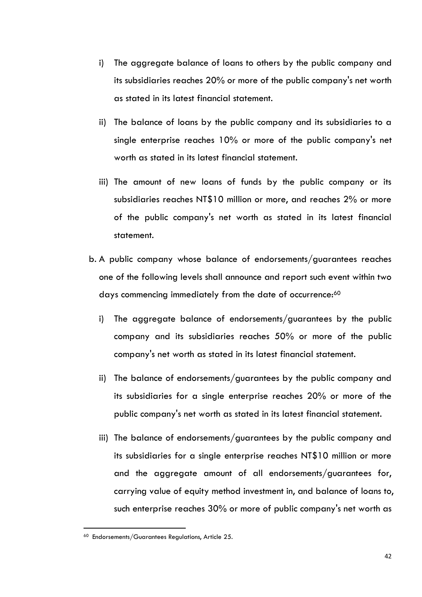- i) The aggregate balance of loans to others by the public company and its subsidiaries reaches 20% or more of the public company's net worth as stated in its latest financial statement.
- ii) The balance of loans by the public company and its subsidiaries to a single enterprise reaches 10% or more of the public company's net worth as stated in its latest financial statement.
- iii) The amount of new loans of funds by the public company or its subsidiaries reaches NT\$10 million or more, and reaches 2% or more of the public company's net worth as stated in its latest financial statement.
- b. A public company whose balance of endorsements/guarantees reaches one of the following levels shall announce and report such event within two days commencing immediately from the date of occurrence:<sup>60</sup>
	- i) The aggregate balance of endorsements/guarantees by the public company and its subsidiaries reaches 50% or more of the public company's net worth as stated in its latest financial statement.
	- ii) The balance of endorsements/guarantees by the public company and its subsidiaries for a single enterprise reaches 20% or more of the public company's net worth as stated in its latest financial statement.
	- iii) The balance of endorsements/guarantees by the public company and its subsidiaries for a single enterprise reaches NT\$10 million or more and the aggregate amount of all endorsements/guarantees for, carrying value of equity method investment in, and balance of loans to, such enterprise reaches 30% or more of public company's net worth as

<sup>60</sup> Endorsements/Guarantees Regulations, Article 25.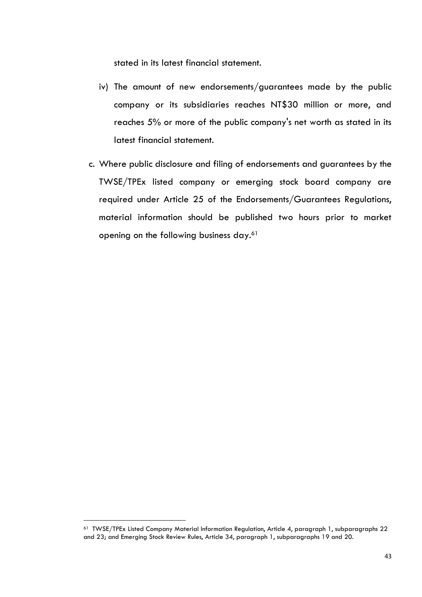stated in its latest financial statement.

- iv) The amount of new endorsements/guarantees made by the public company or its subsidiaries reaches NT\$30 million or more, and reaches 5% or more of the public company's net worth as stated in its latest financial statement.
- c. Where public disclosure and filing of endorsements and guarantees by the TWSE/TPEx listed company or emerging stock board company are required under Article 25 of the Endorsements/Guarantees Regulations, material information should be published two hours prior to market opening on the following business day.<sup>61</sup>

<sup>61</sup> TWSE/TPEx Listed Company Material Information Regulation, Article 4, paragraph 1, subparagraphs 22 and 23; and Emerging Stock Review Rules, Article 34, paragraph 1, subparagraphs 19 and 20.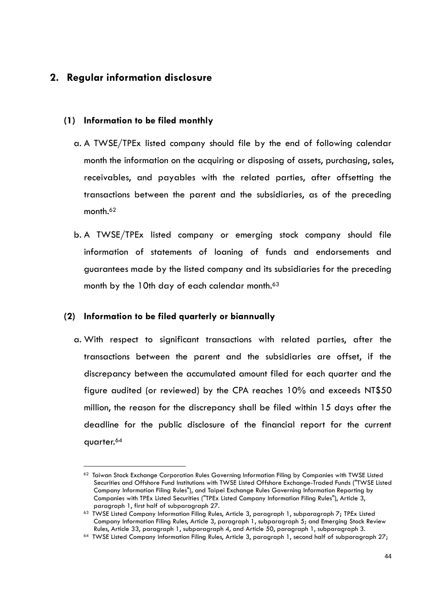## <span id="page-47-0"></span>**2. Regular information disclosure**

#### **(1) Information to be filed monthly**

- a. A TWSE/TPEx listed company should file by the end of following calendar month the information on the acquiring or disposing of assets, purchasing, sales, receivables, and payables with the related parties, after offsetting the transactions between the parent and the subsidiaries, as of the preceding month.<sup>62</sup>
- b. A TWSE/TPEx listed company or emerging stock company should file information of statements of loaning of funds and endorsements and guarantees made by the listed company and its subsidiaries for the preceding month by the 10th day of each calendar month.<sup>63</sup>

#### **(2) Information to be filed quarterly or biannually**

a. With respect to significant transactions with related parties, after the transactions between the parent and the subsidiaries are offset, if the discrepancy between the accumulated amount filed for each quarter and the figure audited (or reviewed) by the CPA reaches 10% and exceeds NT\$50 million, the reason for the discrepancy shall be filed within 15 days after the deadline for the public disclosure of the financial report for the current quarter.<sup>64</sup>

 $\overline{a}$ <sup>62</sup> Taiwan Stock Exchange Corporation Rules Governing Information Filing by Companies with TWSE Listed Securities and Offshore Fund Institutions with TWSE Listed Offshore Exchange-Traded Funds ("TWSE Listed Company Information Filing Rules"), and Taipei Exchange Rules Governing Information Reporting by Companies with TPEx Listed Securities ("TPEx Listed Company Information Filing Rules"), Article 3, paragraph 1, first half of subparagraph 27.

<sup>&</sup>lt;sup>63</sup> TWSE Listed Company Information Filing Rules, Article 3, paragraph 1, subparagraph 7; TPEx Listed Company Information Filing Rules, Article 3, paragraph 1, subparagraph 5; and Emerging Stock Review Rules, Article 33, paragraph 1, subparagraph 4, and Article 50, paragraph 1, subparagraph 3.

<sup>&</sup>lt;sup>64</sup> TWSE Listed Company Information Filing Rules, Article 3, paragraph 1, second half of subparagraph 27;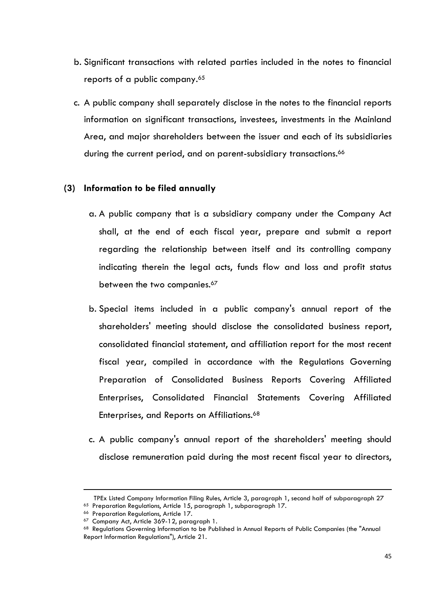- b. Significant transactions with related parties included in the notes to financial reports of a public company.<sup>65</sup>
- c. A public company shall separately disclose in the notes to the financial reports information on significant transactions, investees, investments in the Mainland Area, and major shareholders between the issuer and each of its subsidiaries during the current period, and on parent-subsidiary transactions.<sup>66</sup>

#### **(3) Information to be filed annually**

- a. A public company that is a subsidiary company under the Company Act shall, at the end of each fiscal year, prepare and submit a report regarding the relationship between itself and its controlling company indicating therein the legal acts, funds flow and loss and profit status between the two companies.<sup>67</sup>
- b. Special items included in a public company's annual report of the shareholders' meeting should disclose the consolidated business report, consolidated financial statement, and affiliation report for the most recent fiscal year, compiled in accordance with the Regulations Governing Preparation of Consolidated Business Reports Covering Affiliated Enterprises, Consolidated Financial Statements Covering Affiliated Enterprises, and Reports on Affiliations.<sup>68</sup>
- c. A public company's annual report of the shareholders' meeting should disclose remuneration paid during the most recent fiscal year to directors,

1

TPEx Listed Company Information Filing Rules, Article 3, paragraph 1, second half of subparagraph 27 <sup>65</sup> Preparation Regulations, Article 15, paragraph 1, subparagraph 17.

<sup>66</sup> Preparation Regulations, Article 17.

<sup>&</sup>lt;sup>67</sup> Company Act, Article 369-12, paragraph 1.

<sup>&</sup>lt;sup>68</sup> Regulations Governing Information to be Published in Annual Reports of Public Companies (the "Annual Report Information Regulations"), Article 21.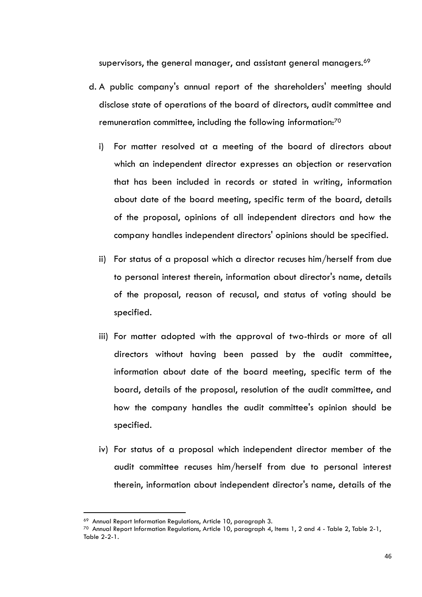supervisors, the general manager, and assistant general managers.<sup>69</sup>

- d. A public company's annual report of the shareholders' meeting should disclose state of operations of the board of directors, audit committee and remuneration committee, including the following information:<sup>70</sup>
	- i) For matter resolved at a meeting of the board of directors about which an independent director expresses an objection or reservation that has been included in records or stated in writing, information about date of the board meeting, specific term of the board, details of the proposal, opinions of all independent directors and how the company handles independent directors' opinions should be specified.
	- ii) For status of a proposal which a director recuses him/herself from due to personal interest therein, information about director's name, details of the proposal, reason of recusal, and status of voting should be specified.
	- iii) For matter adopted with the approval of two-thirds or more of all directors without having been passed by the audit committee, information about date of the board meeting, specific term of the board, details of the proposal, resolution of the audit committee, and how the company handles the audit committee's opinion should be specified.
	- iv) For status of a proposal which independent director member of the audit committee recuses him/herself from due to personal interest therein, information about independent director's name, details of the

<sup>69</sup> Annual Report Information Regulations, Article 10, paragraph 3.

 $70$  Annual Report Information Regulations, Article 10, paragraph 4, Items 1, 2 and 4 - Table 2, Table 2-1, Table 2-2-1.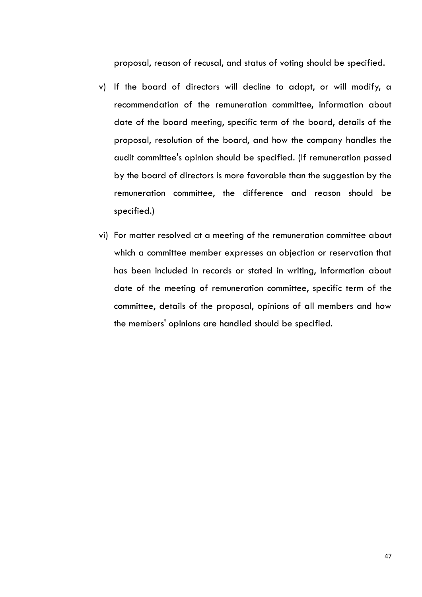proposal, reason of recusal, and status of voting should be specified.

- v) If the board of directors will decline to adopt, or will modify, a recommendation of the remuneration committee, information about date of the board meeting, specific term of the board, details of the proposal, resolution of the board, and how the company handles the audit committee's opinion should be specified. (If remuneration passed by the board of directors is more favorable than the suggestion by the remuneration committee, the difference and reason should be specified.)
- vi) For matter resolved at a meeting of the remuneration committee about which a committee member expresses an objection or reservation that has been included in records or stated in writing, information about date of the meeting of remuneration committee, specific term of the committee, details of the proposal, opinions of all members and how the members' opinions are handled should be specified.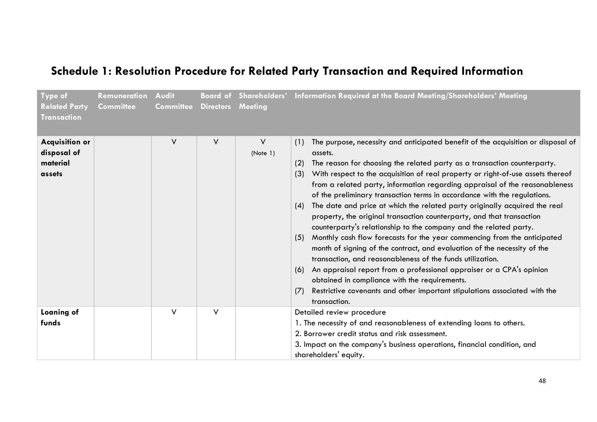# **Schedule 1: Resolution Procedure for Related Party Transaction and Required Information**

<span id="page-51-0"></span>

| Type of<br><b>Related Party</b><br><b>Transaction</b>      | Remuneration<br><b>Committee</b> | Audit<br><b>Committee</b> | <b>Directors</b> | <b>Meeting</b> | Board of Shareholders' Information Required at the Board Meeting/Shareholders' Meeting                                                                                                                                                                                                                                                                                                                                                                                                                                                                                                                                                                                                                                                                                                                                                                                                                                                                                                                                                                                                                                                         |
|------------------------------------------------------------|----------------------------------|---------------------------|------------------|----------------|------------------------------------------------------------------------------------------------------------------------------------------------------------------------------------------------------------------------------------------------------------------------------------------------------------------------------------------------------------------------------------------------------------------------------------------------------------------------------------------------------------------------------------------------------------------------------------------------------------------------------------------------------------------------------------------------------------------------------------------------------------------------------------------------------------------------------------------------------------------------------------------------------------------------------------------------------------------------------------------------------------------------------------------------------------------------------------------------------------------------------------------------|
| <b>Acquisition or</b><br>disposal of<br>material<br>assets |                                  | $\vee$                    | V                | V<br>(Note 1)  | The purpose, necessity and anticipated benefit of the acquisition or disposal of<br>(1)<br>assets.<br>The reason for choosing the related party as a transaction counterparty.<br>(2)<br>With respect to the acquisition of real property or right-of-use assets thereof<br>(3)<br>from a related party, information regarding appraisal of the reasonableness<br>of the preliminary transaction terms in accordance with the regulations.<br>The date and price at which the related party originally acquired the real<br>(4)<br>property, the original transaction counterparty, and that transaction<br>counterparty's relationship to the company and the related party.<br>Monthly cash flow forecasts for the year commencing from the anticipated<br>(5)<br>month of signing of the contract, and evaluation of the necessity of the<br>transaction, and reasonableness of the funds utilization.<br>An appraisal report from a professional appraiser or a CPA's opinion<br>(6)<br>obtained in compliance with the requirements.<br>Restrictive covenants and other important stipulations associated with the<br>(7)<br>transaction. |
| Loaning of<br>funds                                        |                                  | $\vee$                    | $\vee$           |                | Detailed review procedure<br>1. The necessity of and reasonableness of extending loans to others.<br>2. Borrower credit status and risk assessment.<br>3. Impact on the company's business operations, financial condition, and<br>shareholders' equity.                                                                                                                                                                                                                                                                                                                                                                                                                                                                                                                                                                                                                                                                                                                                                                                                                                                                                       |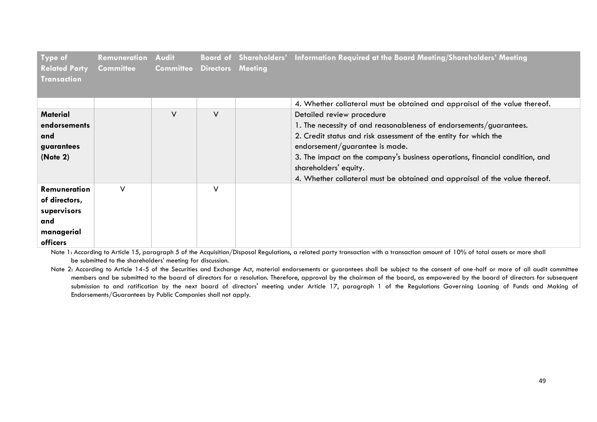| Type of<br><b>Related Party</b><br><b>Transaction</b>                                | Remuneration<br>Committee | <b>Audit</b><br><b>Committee</b> | <b>Directors Meeting</b> | Board of Shareholders' Information Required at the Board Meeting/Shareholders' Meeting                                                                                                                                                                                                                                                                                                       |
|--------------------------------------------------------------------------------------|---------------------------|----------------------------------|--------------------------|----------------------------------------------------------------------------------------------------------------------------------------------------------------------------------------------------------------------------------------------------------------------------------------------------------------------------------------------------------------------------------------------|
|                                                                                      |                           |                                  |                          | 4. Whether collateral must be obtained and appraisal of the value thereof.                                                                                                                                                                                                                                                                                                                   |
| <b>Material</b><br>endorsements<br>and<br>guarantees<br>(Note 2)                     |                           | $\vee$                           | $\vee$                   | Detailed review procedure<br>1. The necessity of and reasonableness of endorsements/guarantees.<br>2. Credit status and risk assessment of the entity for which the<br>endorsement/guarantee is made.<br>3. The impact on the company's business operations, financial condition, and<br>shareholders' equity.<br>4. Whether collateral must be obtained and appraisal of the value thereof. |
| <b>Remuneration</b><br>of directors,<br>supervisors<br>and<br>managerial<br>officers | $\vee$                    |                                  | V                        |                                                                                                                                                                                                                                                                                                                                                                                              |

Note 1: According to Article 15, paragraph 5 of the Acquisition/Disposal Regulations, a related party transaction with a transaction amount of 10% of total assets or more shall be submitted to the shareholders' meeting for discussion.

Note 2: According to Article 14-5 of the Securities and Exchange Act, material endorsements or guarantees shall be subject to the consent of one-half or more of all audit committee members and be submitted to the board of directors for a resolution. Therefore, approval by the chairman of the board, as empowered by the board of directors for subsequent submission to and ratification by the next board of directors' meeting under Article 17, paragraph 1 of the Regulations Governing Loaning of Funds and Making of Endorsements/Guarantees by Public Companies shall not apply.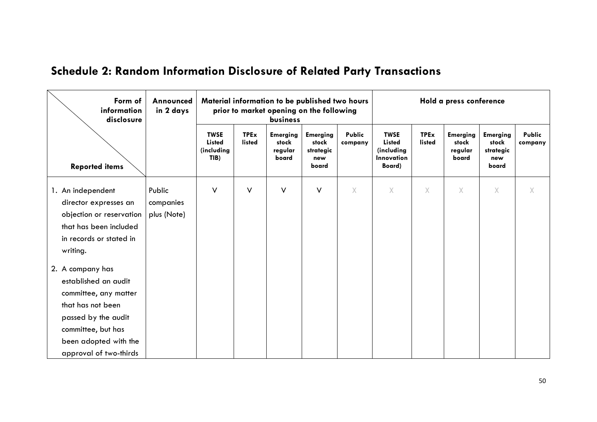# **Schedule 2: Random Information Disclosure of Related Party Transactions**

<span id="page-53-0"></span>

| Form of<br>information<br>disclosure               |             |                                                    | Material information to be published two hours<br>prior to market opening on the following<br>business |                                              |                                                       | Hold a press conference  |                                                                           |                       |                                              |                                                       |                   |
|----------------------------------------------------|-------------|----------------------------------------------------|--------------------------------------------------------------------------------------------------------|----------------------------------------------|-------------------------------------------------------|--------------------------|---------------------------------------------------------------------------|-----------------------|----------------------------------------------|-------------------------------------------------------|-------------------|
| <b>Reported items</b>                              |             | <b>TWSE</b><br><b>Listed</b><br>(including<br>TIB) | <b>TPEx</b><br>listed                                                                                  | <b>Emerging</b><br>stock<br>regular<br>board | <b>Emerging</b><br>stock<br>strategic<br>new<br>board | <b>Public</b><br>company | <b>TWSE</b><br><b>Listed</b><br>(including<br><b>Innovation</b><br>Board) | <b>TPEx</b><br>listed | <b>Emerging</b><br>stock<br>regular<br>board | <b>Emerging</b><br>stock<br>strategic<br>new<br>board | Public<br>company |
| 1. An independent                                  | Public      | V                                                  | $\vee$                                                                                                 | V                                            | V                                                     | $\times$                 | X                                                                         | X                     | $\times$                                     | $\times$                                              | X.                |
| director expresses an                              | companies   |                                                    |                                                                                                        |                                              |                                                       |                          |                                                                           |                       |                                              |                                                       |                   |
| objection or reservation<br>that has been included | plus (Note) |                                                    |                                                                                                        |                                              |                                                       |                          |                                                                           |                       |                                              |                                                       |                   |
| in records or stated in                            |             |                                                    |                                                                                                        |                                              |                                                       |                          |                                                                           |                       |                                              |                                                       |                   |
| writing.                                           |             |                                                    |                                                                                                        |                                              |                                                       |                          |                                                                           |                       |                                              |                                                       |                   |
| 2. A company has                                   |             |                                                    |                                                                                                        |                                              |                                                       |                          |                                                                           |                       |                                              |                                                       |                   |
| established an audit                               |             |                                                    |                                                                                                        |                                              |                                                       |                          |                                                                           |                       |                                              |                                                       |                   |
| committee, any matter                              |             |                                                    |                                                                                                        |                                              |                                                       |                          |                                                                           |                       |                                              |                                                       |                   |
| that has not been                                  |             |                                                    |                                                                                                        |                                              |                                                       |                          |                                                                           |                       |                                              |                                                       |                   |
| passed by the audit                                |             |                                                    |                                                                                                        |                                              |                                                       |                          |                                                                           |                       |                                              |                                                       |                   |
| committee, but has                                 |             |                                                    |                                                                                                        |                                              |                                                       |                          |                                                                           |                       |                                              |                                                       |                   |
| been adopted with the                              |             |                                                    |                                                                                                        |                                              |                                                       |                          |                                                                           |                       |                                              |                                                       |                   |
| approval of two-thirds                             |             |                                                    |                                                                                                        |                                              |                                                       |                          |                                                                           |                       |                                              |                                                       |                   |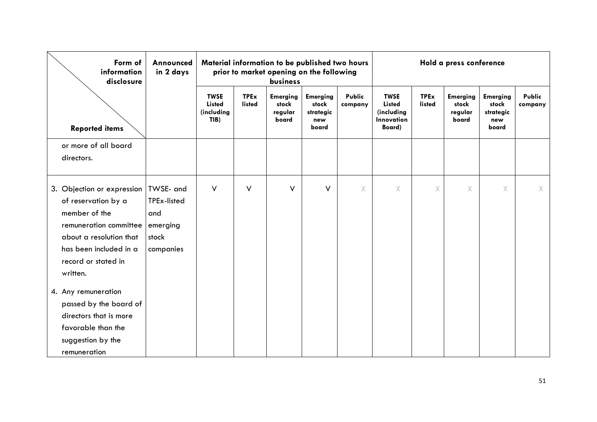| Form of<br>information<br>disclosure                                                                                                                                                             | Announced<br>in 2 days                               |                                                    |                              | Material information to be published two hours<br>prior to market opening on the following<br>business |                                                       |                   | Hold a press conference                                            |                       |                                              |                                                       |                   |
|--------------------------------------------------------------------------------------------------------------------------------------------------------------------------------------------------|------------------------------------------------------|----------------------------------------------------|------------------------------|--------------------------------------------------------------------------------------------------------|-------------------------------------------------------|-------------------|--------------------------------------------------------------------|-----------------------|----------------------------------------------|-------------------------------------------------------|-------------------|
| <b>Reported items</b>                                                                                                                                                                            |                                                      | <b>TWSE</b><br><b>Listed</b><br>(including<br>TIB) | <b>TPEx</b><br><b>listed</b> | <b>Emerging</b><br>stock<br>regular<br>board                                                           | <b>Emerging</b><br>stock<br>strategic<br>new<br>board | Public<br>company | <b>TWSE</b><br><b>Listed</b><br>(including<br>Innovation<br>Board) | <b>TPEx</b><br>listed | <b>Emerging</b><br>stock<br>regular<br>board | <b>Emerging</b><br>stock<br>strategic<br>new<br>board | Public<br>company |
| or more of all board<br>directors.                                                                                                                                                               |                                                      |                                                    |                              |                                                                                                        |                                                       |                   |                                                                    |                       |                                              |                                                       |                   |
| 3. Objection or expression   TWSE- and<br>of reservation by a<br>member of the<br>remuneration committee<br>about a resolution that<br>has been included in a<br>record or stated in<br>written. | TPEx-listed<br>and<br>emerging<br>stock<br>companies | V                                                  | V                            | $\vee$                                                                                                 | $\vee$                                                | X                 | $\times$                                                           | X                     | Χ                                            | X                                                     | X                 |
| 4. Any remuneration<br>passed by the board of<br>directors that is more<br>favorable than the<br>suggestion by the<br>remuneration                                                               |                                                      |                                                    |                              |                                                                                                        |                                                       |                   |                                                                    |                       |                                              |                                                       |                   |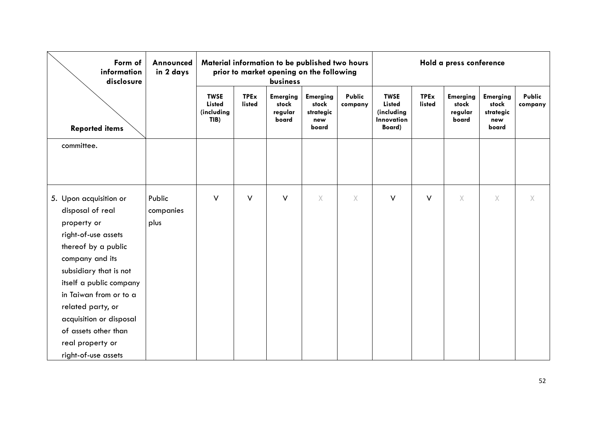| Form of<br>information<br>disclosure | Announced<br>in 2 days | Material information to be published two hours<br>prior to market opening on the following<br>business |                       |                                              |                                                       |                   | Hold a press conference                                            |                       |                                              |                                                       |                          |
|--------------------------------------|------------------------|--------------------------------------------------------------------------------------------------------|-----------------------|----------------------------------------------|-------------------------------------------------------|-------------------|--------------------------------------------------------------------|-----------------------|----------------------------------------------|-------------------------------------------------------|--------------------------|
| <b>Reported items</b>                |                        | <b>TWSE</b><br><b>Listed</b><br>(including<br>TIB)                                                     | <b>TPEx</b><br>listed | <b>Emerging</b><br>stock<br>regular<br>board | <b>Emerging</b><br>stock<br>strategic<br>new<br>board | Public<br>company | <b>TWSE</b><br><b>Listed</b><br>(including<br>Innovation<br>Board) | <b>TPEx</b><br>listed | <b>Emerging</b><br>stock<br>regular<br>board | <b>Emerging</b><br>stock<br>strategic<br>new<br>board | <b>Public</b><br>company |
| committee.                           |                        |                                                                                                        |                       |                                              |                                                       |                   |                                                                    |                       |                                              |                                                       |                          |
|                                      |                        |                                                                                                        |                       |                                              |                                                       |                   |                                                                    |                       |                                              |                                                       |                          |
|                                      |                        |                                                                                                        |                       |                                              |                                                       |                   |                                                                    |                       |                                              |                                                       |                          |
| 5. Upon acquisition or               | Public                 | $\vee$                                                                                                 | $\vee$                | $\vee$                                       | $\times$                                              | X.                | $\vee$                                                             | $\vee$                | $\times$                                     | X.                                                    | X.                       |
| disposal of real                     | companies              |                                                                                                        |                       |                                              |                                                       |                   |                                                                    |                       |                                              |                                                       |                          |
| property or                          | plus                   |                                                                                                        |                       |                                              |                                                       |                   |                                                                    |                       |                                              |                                                       |                          |
| right-of-use assets                  |                        |                                                                                                        |                       |                                              |                                                       |                   |                                                                    |                       |                                              |                                                       |                          |
| thereof by a public                  |                        |                                                                                                        |                       |                                              |                                                       |                   |                                                                    |                       |                                              |                                                       |                          |
| company and its                      |                        |                                                                                                        |                       |                                              |                                                       |                   |                                                                    |                       |                                              |                                                       |                          |
| subsidiary that is not               |                        |                                                                                                        |                       |                                              |                                                       |                   |                                                                    |                       |                                              |                                                       |                          |
| itself a public company              |                        |                                                                                                        |                       |                                              |                                                       |                   |                                                                    |                       |                                              |                                                       |                          |
| in Taiwan from or to a               |                        |                                                                                                        |                       |                                              |                                                       |                   |                                                                    |                       |                                              |                                                       |                          |
| related party, or                    |                        |                                                                                                        |                       |                                              |                                                       |                   |                                                                    |                       |                                              |                                                       |                          |
| acquisition or disposal              |                        |                                                                                                        |                       |                                              |                                                       |                   |                                                                    |                       |                                              |                                                       |                          |
| of assets other than                 |                        |                                                                                                        |                       |                                              |                                                       |                   |                                                                    |                       |                                              |                                                       |                          |
| real property or                     |                        |                                                                                                        |                       |                                              |                                                       |                   |                                                                    |                       |                                              |                                                       |                          |
| right-of-use assets                  |                        |                                                                                                        |                       |                                              |                                                       |                   |                                                                    |                       |                                              |                                                       |                          |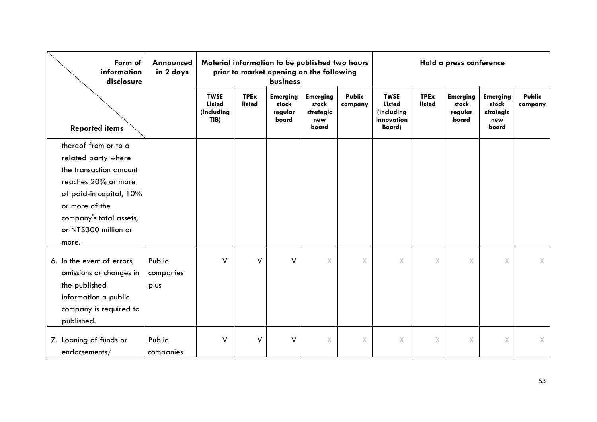| Form of<br>information<br>disclosure                                                                                                                                                                   | Announced<br>in 2 days      |                                                    | Material information to be published two hours<br>prior to market opening on the following<br>business |                                              |                                                       |                   | Hold a press conference                                            |                       |                                              |                                                       |                          |
|--------------------------------------------------------------------------------------------------------------------------------------------------------------------------------------------------------|-----------------------------|----------------------------------------------------|--------------------------------------------------------------------------------------------------------|----------------------------------------------|-------------------------------------------------------|-------------------|--------------------------------------------------------------------|-----------------------|----------------------------------------------|-------------------------------------------------------|--------------------------|
| <b>Reported items</b>                                                                                                                                                                                  |                             | <b>TWSE</b><br><b>Listed</b><br>(including<br>TIB) | <b>TPEx</b><br>listed                                                                                  | <b>Emerging</b><br>stock<br>regular<br>board | <b>Emerging</b><br>stock<br>strategic<br>new<br>board | Public<br>company | <b>TWSE</b><br><b>Listed</b><br>(including<br>Innovation<br>Board) | <b>TPEx</b><br>listed | <b>Emerging</b><br>stock<br>regular<br>board | <b>Emerging</b><br>stock<br>strategic<br>new<br>board | <b>Public</b><br>company |
| thereof from or to a<br>related party where<br>the transaction amount<br>reaches 20% or more<br>of paid-in capital, 10%<br>or more of the<br>company's total assets,<br>or NT\$300 million or<br>more. |                             |                                                    |                                                                                                        |                                              |                                                       |                   |                                                                    |                       |                                              |                                                       |                          |
| 6. In the event of errors,<br>omissions or changes in<br>the published<br>information a public<br>company is required to<br>published.                                                                 | Public<br>companies<br>plus | V                                                  | V                                                                                                      | $\vee$                                       | X.                                                    | $\chi$            | $\times$                                                           | Χ                     | X                                            | $\chi$                                                | X                        |
| 7. Loaning of funds or<br>endorsements/                                                                                                                                                                | Public<br>companies         | V                                                  | $\vee$                                                                                                 | V                                            | X                                                     | $\chi$            | X                                                                  | X.                    | X                                            | $\chi$                                                | X.                       |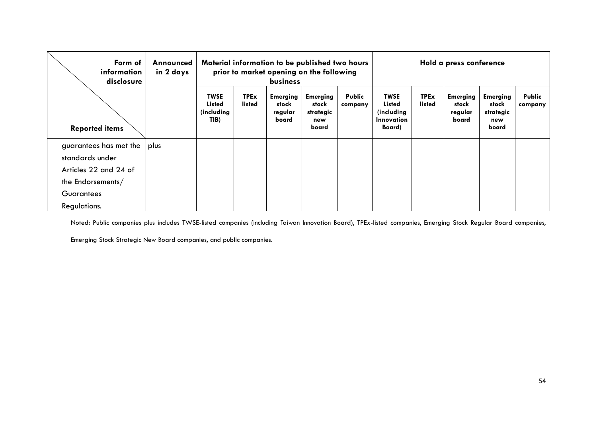| Form of<br>information<br>disclosure                                                    | Announced<br>in 2 days |                                                     | Material information to be published two hours<br>prior to market opening on the following<br><b>business</b> |                                              |                                                       | Hold a press conference |                                                                            |                       |                                              |                                                       |                   |
|-----------------------------------------------------------------------------------------|------------------------|-----------------------------------------------------|---------------------------------------------------------------------------------------------------------------|----------------------------------------------|-------------------------------------------------------|-------------------------|----------------------------------------------------------------------------|-----------------------|----------------------------------------------|-------------------------------------------------------|-------------------|
| <b>Reported items</b>                                                                   |                        | <b>TWSE</b><br><b>Listed</b><br>(including)<br>TIB) | <b>TPEx</b><br>listed                                                                                         | <b>Emerging</b><br>stock<br>regular<br>board | <b>Emerging</b><br>stock<br>strategic<br>new<br>board | Public<br>company       | <b>TWSE</b><br><b>Listed</b><br>(including)<br><b>Innovation</b><br>Board) | <b>TPEx</b><br>listed | <b>Emerging</b><br>stock<br>regular<br>board | <b>Emerging</b><br>stock<br>strategic<br>new<br>board | Public<br>company |
| guarantees has met the<br>standards under<br>Articles 22 and 24 of<br>the Endorsements/ | plus                   |                                                     |                                                                                                               |                                              |                                                       |                         |                                                                            |                       |                                              |                                                       |                   |
| <b>Guarantees</b><br>Regulations.                                                       |                        |                                                     |                                                                                                               |                                              |                                                       |                         |                                                                            |                       |                                              |                                                       |                   |

Noted: Public companies plus includes TWSE-listed companies (including Taiwan Innovation Board), TPEx-listed companies, Emerging Stock Regular Board companies,

Emerging Stock Strategic New Board companies, and public companies.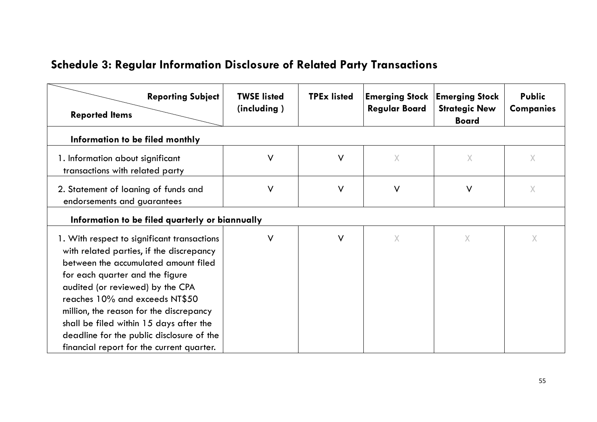| <b>Schedule 3: Regular Information Disclosure of Related Party Transactions</b> |  |  |  |  |
|---------------------------------------------------------------------------------|--|--|--|--|
|---------------------------------------------------------------------------------|--|--|--|--|

<span id="page-58-0"></span>

| <b>Reporting Subject</b><br><b>Reported Items</b>                                                                                                                                                                                                                                                                                                                                                                        | <b>TWSE listed</b><br>(including) | <b>TPEx listed</b> | <b>Regular Board</b> | <b>Emerging Stock   Emerging Stock</b><br><b>Strategic New</b><br><b>Board</b> | <b>Public</b><br><b>Companies</b> |
|--------------------------------------------------------------------------------------------------------------------------------------------------------------------------------------------------------------------------------------------------------------------------------------------------------------------------------------------------------------------------------------------------------------------------|-----------------------------------|--------------------|----------------------|--------------------------------------------------------------------------------|-----------------------------------|
| Information to be filed monthly                                                                                                                                                                                                                                                                                                                                                                                          |                                   |                    |                      |                                                                                |                                   |
| 1. Information about significant<br>transactions with related party                                                                                                                                                                                                                                                                                                                                                      | V                                 | $\vee$             | $\times$             | $\times$                                                                       | $\chi$                            |
| 2. Statement of loaning of funds and<br>endorsements and guarantees                                                                                                                                                                                                                                                                                                                                                      | V                                 | $\vee$             | $\vee$               | $\vee$                                                                         | Χ                                 |
| Information to be filed quarterly or biannually                                                                                                                                                                                                                                                                                                                                                                          |                                   |                    |                      |                                                                                |                                   |
| 1. With respect to significant transactions<br>with related parties, if the discrepancy<br>between the accumulated amount filed<br>for each quarter and the figure<br>audited (or reviewed) by the CPA<br>reaches 10% and exceeds NT\$50<br>million, the reason for the discrepancy<br>shall be filed within 15 days after the<br>deadline for the public disclosure of the<br>financial report for the current quarter. | V                                 | V                  | $\times$             | $\overline{X}$                                                                 | X                                 |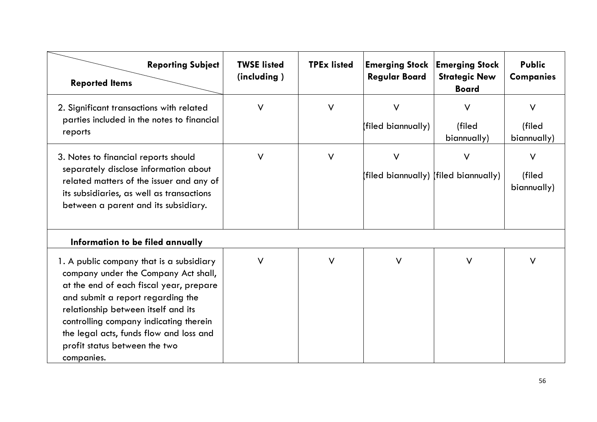| <b>Reporting Subject</b><br><b>Reported Items</b>                                                                                                                                                                                                                                                                                           | <b>TWSE listed</b><br>(including) | <b>TPEx listed</b> | <b>Regular Board</b>         | <b>Emerging Stock   Emerging Stock</b><br><b>Strategic New</b><br><b>Board</b> | <b>Public</b><br><b>Companies</b> |
|---------------------------------------------------------------------------------------------------------------------------------------------------------------------------------------------------------------------------------------------------------------------------------------------------------------------------------------------|-----------------------------------|--------------------|------------------------------|--------------------------------------------------------------------------------|-----------------------------------|
| 2. Significant transactions with related<br>parties included in the notes to financial<br>reports                                                                                                                                                                                                                                           | $\vee$                            | V                  | $\vee$<br>(filed biannually) | $\vee$<br>(filed<br>biannually)                                                | $\vee$<br>(filed<br>biannually)   |
| 3. Notes to financial reports should<br>separately disclose information about<br>related matters of the issuer and any of<br>its subsidiaries, as well as transactions<br>between a parent and its subsidiary.                                                                                                                              | $\vee$                            | V                  | V                            | $\vee$<br>(filed biannually) (filed biannually)                                | $\vee$<br>(filed<br>biannually)   |
| Information to be filed annually                                                                                                                                                                                                                                                                                                            |                                   |                    |                              |                                                                                |                                   |
| 1. A public company that is a subsidiary<br>company under the Company Act shall,<br>at the end of each fiscal year, prepare<br>and submit a report regarding the<br>relationship between itself and its<br>controlling company indicating therein<br>the legal acts, funds flow and loss and<br>profit status between the two<br>companies. | V                                 | V                  | $\vee$                       | $\vee$                                                                         | V                                 |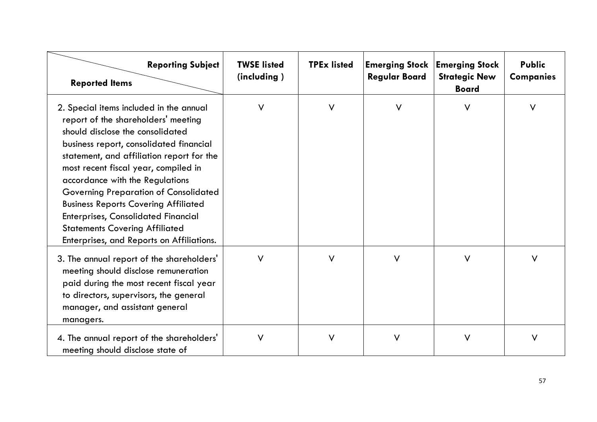| <b>Reporting Subject</b><br><b>Reported Items</b>                                                                                                                                                                                                                                                                                                                                                                                                                                                                        | <b>TWSE listed</b><br>(including) | <b>TPEx listed</b> | <b>Emerging Stock</b><br><b>Regular Board</b> | <b>Emerging Stock</b><br><b>Strategic New</b><br><b>Board</b> | <b>Public</b><br><b>Companies</b> |
|--------------------------------------------------------------------------------------------------------------------------------------------------------------------------------------------------------------------------------------------------------------------------------------------------------------------------------------------------------------------------------------------------------------------------------------------------------------------------------------------------------------------------|-----------------------------------|--------------------|-----------------------------------------------|---------------------------------------------------------------|-----------------------------------|
| 2. Special items included in the annual<br>report of the shareholders' meeting<br>should disclose the consolidated<br>business report, consolidated financial<br>statement, and affiliation report for the<br>most recent fiscal year, compiled in<br>accordance with the Regulations<br><b>Governing Preparation of Consolidated</b><br><b>Business Reports Covering Affiliated</b><br><b>Enterprises, Consolidated Financial</b><br><b>Statements Covering Affiliated</b><br>Enterprises, and Reports on Affiliations. | $\vee$                            | $\vee$             | $\vee$                                        | $\vee$                                                        | V                                 |
| 3. The annual report of the shareholders'<br>meeting should disclose remuneration<br>paid during the most recent fiscal year<br>to directors, supervisors, the general<br>manager, and assistant general<br>managers.                                                                                                                                                                                                                                                                                                    | $\vee$                            | $\vee$             | $\vee$                                        | $\vee$                                                        | $\vee$                            |
| 4. The annual report of the shareholders'<br>meeting should disclose state of                                                                                                                                                                                                                                                                                                                                                                                                                                            | V                                 | V                  | $\vee$                                        | $\vee$                                                        | V                                 |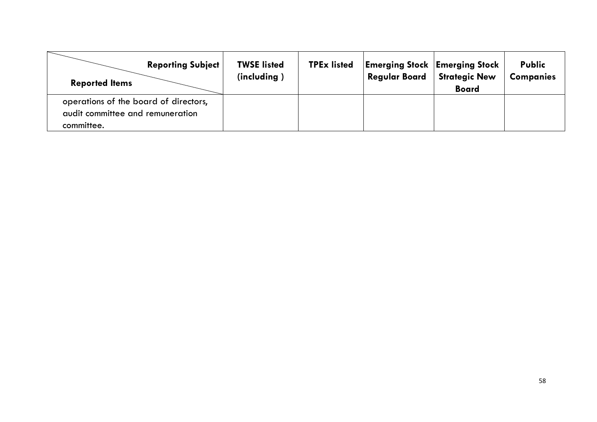| <b>Reporting Subject</b><br><b>Reported Items</b> | <b>TWSE listed</b><br>(including) | <b>TPEx listed</b> | <b>Emerging Stock Emerging Stock</b><br><b>Regular Board</b> | <b>Strategic New</b><br><b>Board</b> | <b>Public</b><br><b>Companies</b> |
|---------------------------------------------------|-----------------------------------|--------------------|--------------------------------------------------------------|--------------------------------------|-----------------------------------|
| operations of the board of directors,             |                                   |                    |                                                              |                                      |                                   |
| audit committee and remuneration                  |                                   |                    |                                                              |                                      |                                   |
| committee.                                        |                                   |                    |                                                              |                                      |                                   |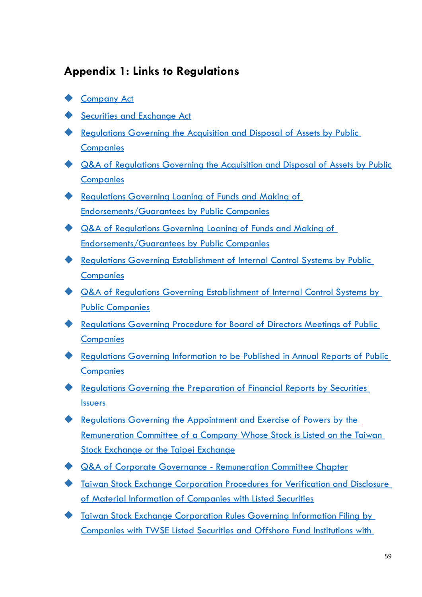# <span id="page-62-0"></span>**Appendix 1: Links to Regulations**

- [Company Act](http://eng.selaw.com.tw/LawArticle.aspx?LawID=FL011292&ModifyDate=1070801)
- [Securities and Exchange Act](http://eng.selaw.com.tw/LawArticle.aspx?LawID=FL007009&ModifyDate=1100127)
- [Regulations Governing the Acquisition and Disposal](http://eng.selaw.com.tw/LawArticle.aspx?LawID=FL021987&ModifyDate=1071126) of Assets by Public **[Companies](http://eng.selaw.com.tw/LawArticle.aspx?LawID=FL021987&ModifyDate=1071126)**
- [Q&A of Regulations Governing the Acquisition and Disposal of Assets by Public](https://www.fsc.gov.tw/uploaddowndoc?file=chdownload/202003040836460.pdf&filedisplay=%E5%85%AC%E9%96%8B%E7%99%BC%E8%A1%8C%E5%85%AC%E5%8F%B8%E5%8F%96%E5%BE%97%E6%88%96%E8%99%95%E5%88%86%E8%B3%87%E7%94%A2%E8%99%95%E7%90%86%E6%BA%96%E5%89%87%E5%95%8F%E7%AD%94%E9%9B%86.pdf&flag=doc)  **[Companies](https://www.fsc.gov.tw/uploaddowndoc?file=chdownload/202003040836460.pdf&filedisplay=%E5%85%AC%E9%96%8B%E7%99%BC%E8%A1%8C%E5%85%AC%E5%8F%B8%E5%8F%96%E5%BE%97%E6%88%96%E8%99%95%E5%88%86%E8%B3%87%E7%94%A2%E8%99%95%E7%90%86%E6%BA%96%E5%89%87%E5%95%8F%E7%AD%94%E9%9B%86.pdf&flag=doc)**
- [Regulations Governing Loaning of Funds and Making of](http://eng.selaw.com.tw/LawArticle.aspx?LawID=FL021986&ModifyDate=1080307)  [Endorsements/Guarantees by Public Companies](http://eng.selaw.com.tw/LawArticle.aspx?LawID=FL021986&ModifyDate=1080307)
- [Q&A of Regulations Governing Loaning of Funds and Making of](https://www.fsc.gov.tw/uploaddowndoc?file=chdownload/202102080955190.pdf&filedisplay=%E5%85%AC%E9%96%8B%E7%99%BC%E8%A1%8C%E5%85%AC%E5%8F%B8%E8%B3%87%E9%87%91%E8%B2%B8%E8%88%87%E5%8F%8A%E8%83%8C%E6%9B%B8%E4%BF%9D%E8%AD%89%E8%99%95%E7%90%86%E6%BA%96%E5%89%87%E5%95%8F%E7%AD%94%E9%9B%86%282021.2.8%29.pdf&flag=doc)  [Endorsements/Guarantees by Public Companies](https://www.fsc.gov.tw/uploaddowndoc?file=chdownload/202102080955190.pdf&filedisplay=%E5%85%AC%E9%96%8B%E7%99%BC%E8%A1%8C%E5%85%AC%E5%8F%B8%E8%B3%87%E9%87%91%E8%B2%B8%E8%88%87%E5%8F%8A%E8%83%8C%E6%9B%B8%E4%BF%9D%E8%AD%89%E8%99%95%E7%90%86%E6%BA%96%E5%89%87%E5%95%8F%E7%AD%94%E9%9B%86%282021.2.8%29.pdf&flag=doc)
- [Regulations Governing Establishment of Internal Control Systems by Public](http://eng.selaw.com.tw/LawArticle.aspx?LawID=FL021141&ModifyDate=1030922)  **[Companies](http://eng.selaw.com.tw/LawArticle.aspx?LawID=FL021141&ModifyDate=1030922)**
- [Q&A of Regulations Governing Establishment of Internal Control Systems by](https://www.sfb.gov.tw/ch/home.jsp?id=870&parentpath=0,6,858)  [Public Companies](https://www.sfb.gov.tw/ch/home.jsp?id=870&parentpath=0,6,858)
- [Regulations Governing Procedure for Board of Directors Meetings of Public](http://eng.selaw.com.tw/LawArticle.aspx?LawID=FL038789&ModifyDate=1090115)  **[Companies](http://eng.selaw.com.tw/LawArticle.aspx?LawID=FL038789&ModifyDate=1090115)**
- [Regulations Governing Information to be Published in Annual Reports of Public](http://eng.selaw.com.tw/LawArticle.aspx?LawID=FL007032&ModifyDate=1090122)  **[Companies](http://eng.selaw.com.tw/LawArticle.aspx?LawID=FL007032&ModifyDate=1090122)**
- [Regulations Governing the Preparation of Financial Reports by Securities](http://eng.selaw.com.tw/LawArticle.aspx?LawID=FL007203&ModifyDate=1091021)  [Issuers](http://eng.selaw.com.tw/LawArticle.aspx?LawID=FL007203&ModifyDate=1091021)
- [Regulations Governing the Appointment and Exercise of Powers by the](http://eng.selaw.com.tw/LawArticle.aspx?LawID=FL058795&ModifyDate=1090115)  [Remuneration Committee of a Company Whose Stock is Listed on the Taiwan](http://eng.selaw.com.tw/LawArticle.aspx?LawID=FL058795&ModifyDate=1090115)  [Stock Exchange or the Taipei](http://eng.selaw.com.tw/LawArticle.aspx?LawID=FL058795&ModifyDate=1090115) Exchange
- [Q&A of Corporate Governance -](https://www.fsc.gov.tw/uploaddowndoc?file=chdownload/201908151421280.pdf&filedisplay=%E5%95%8F%E7%AD%94%E9%9B%86105-%E5%85%AC%E5%8F%B8%E6%B2%BB%E7%90%86-%E8%96%AA%E8%B3%87%E5%A0%B1%E9%85%AC%E5%A7%94%E5%93%A1%E6%9C%83%E7%AF%87%281030401%29.pdf&flag=doc) Remuneration Committee Chapter
- [Taiwan Stock Exchange Corporation Procedures for Verification and Disclosure](http://eng.selaw.com.tw/LawArticle.aspx?LawID=FL007111&ModifyDate=1100427)  [of Material Information of Companies with Listed Securities](http://eng.selaw.com.tw/LawArticle.aspx?LawID=FL007111&ModifyDate=1100427)
- [Taiwan Stock Exchange Corporation Rules Governing Information Filing by](http://eng.selaw.com.tw/LawArticle.aspx?LawID=FL007250&ModifyDate=1100409)  [Companies with TWSE Listed Securities and Offshore Fund Institutions with](http://eng.selaw.com.tw/LawArticle.aspx?LawID=FL007250&ModifyDate=1100409)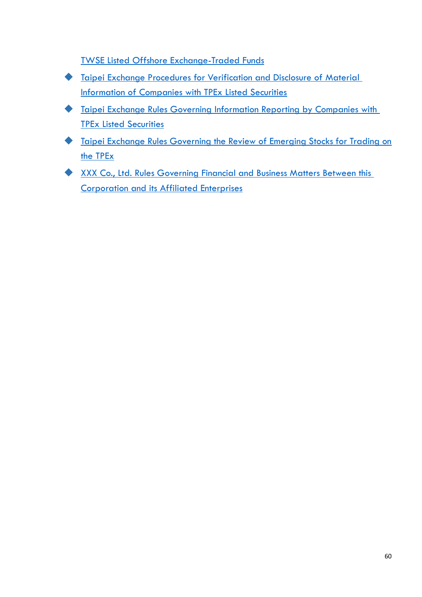[TWSE Listed Offshore Exchange-Traded Funds](http://eng.selaw.com.tw/LawArticle.aspx?LawID=FL007250&ModifyDate=1100409)

- [Taipei Exchange Procedures for Verification and Disclosure of Material](http://eng.selaw.com.tw/LawArticle.aspx?LawID=FL007378&ModifyDate=1100817)  [Information of Companies with TPEx Listed Securities](http://eng.selaw.com.tw/LawArticle.aspx?LawID=FL007378&ModifyDate=1100817)
- [Taipei Exchange Rules Governing Information Reporting by Companies with](http://eng.selaw.com.tw/LawArticle.aspx?LawID=FL007526&ModifyDate=1100817)  [TPEx Listed Securities](http://eng.selaw.com.tw/LawArticle.aspx?LawID=FL007526&ModifyDate=1100817)
- [Taipei Exchange Rules Governing the Review of Emerging Stocks for Trading on](http://eng.selaw.com.tw/LawArticle.aspx?LawID=FL007442&ModifyDate=1100922)  [the TPEx](http://eng.selaw.com.tw/LawArticle.aspx?LawID=FL007442&ModifyDate=1100922)
- XXX Co., Ltd. Rules Governing Financial and Business Matters Between this [Corporation and its Affiliated Enterprises](http://eng.selaw.com.tw/LawArticle.aspx?LawID=FL028626&ModifyDate=1030221)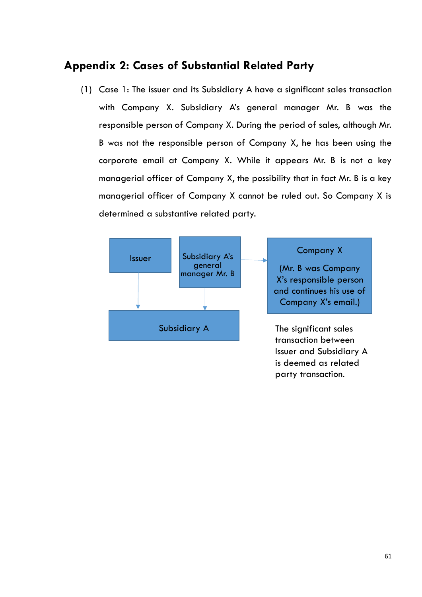# <span id="page-64-0"></span>**Appendix 2: Cases of Substantial Related Party**

(1) Case 1: The issuer and its Subsidiary A have a significant sales transaction with Company X. Subsidiary A's general manager Mr. B was the responsible person of Company X. During the period of sales, although Mr. B was not the responsible person of Company X, he has been using the corporate email at Company X. While it appears Mr. B is not a key managerial officer of Company X, the possibility that in fact Mr. B is a key managerial officer of Company X cannot be ruled out. So Company X is determined a substantive related party.



party transaction.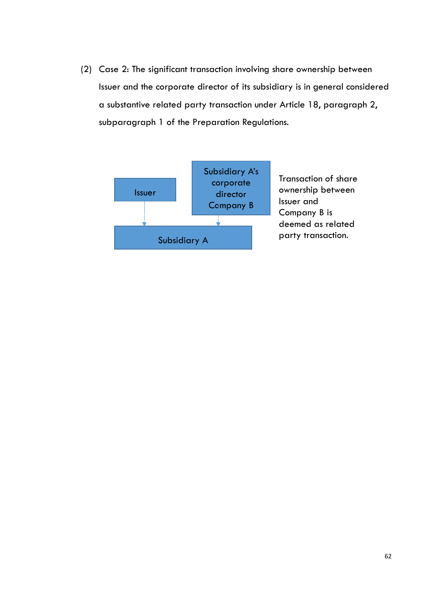(2) Case 2: The significant transaction involving share ownership between Issuer and the corporate director of its subsidiary is in general considered a substantive related party transaction under Article 18, paragraph 2, subparagraph 1 of the Preparation Regulations.

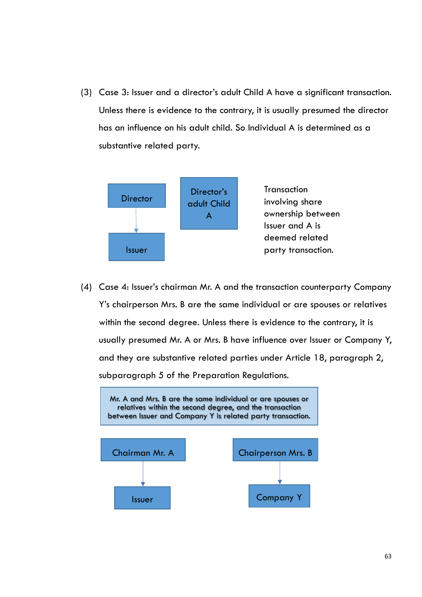(3) Case 3: Issuer and a director's adult Child A have a significant transaction. Unless there is evidence to the contrary, it is usually presumed the director has an influence on his adult child. So Individual A is determined as a substantive related party.



(4) Case 4: Issuer's chairman Mr. A and the transaction counterparty Company Y's chairperson Mrs. B are the same individual or are spouses or relatives within the second degree. Unless there is evidence to the contrary, it is usually presumed Mr. A or Mrs. B have influence over Issuer or Company Y, and they are substantive related parties under Article 18, paragraph 2, subparagraph 5 of the Preparation Regulations.

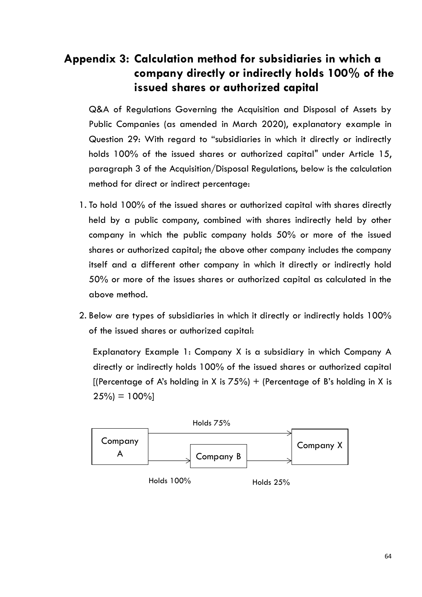# <span id="page-67-0"></span>**Appendix 3: Calculation method for subsidiaries in which a company directly or indirectly holds 100% of the issued shares or authorized capital**

Q&A of Regulations Governing the Acquisition and Disposal of Assets by Public Companies (as amended in March 2020), explanatory example in Question 29: With regard to "subsidiaries in which it directly or indirectly holds 100% of the issued shares or authorized capital" under Article 15, paragraph 3 of the Acquisition/Disposal Regulations, below is the calculation method for direct or indirect percentage:

- 1. To hold 100% of the issued shares or authorized capital with shares directly held by a public company, combined with shares indirectly held by other company in which the public company holds 50% or more of the issued shares or authorized capital; the above other company includes the company itself and a different other company in which it directly or indirectly hold 50% or more of the issues shares or authorized capital as calculated in the above method.
- 2. Below are types of subsidiaries in which it directly or indirectly holds 100% of the issued shares or authorized capital:

Explanatory Example 1: Company X is a subsidiary in which Company A directly or indirectly holds 100% of the issued shares or authorized capital [(Percentage of A's holding in X is  $75\%$ ) + (Percentage of B's holding in X is  $25\% = 100\%$ 

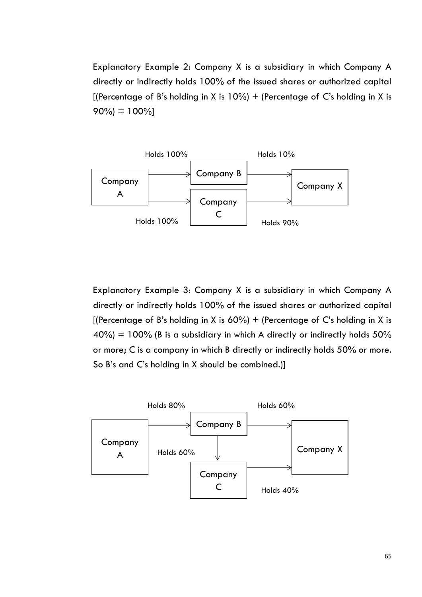Explanatory Example 2: Company X is a subsidiary in which Company A directly or indirectly holds 100% of the issued shares or authorized capital [(Percentage of B's holding in X is  $10\%$ ) + (Percentage of C's holding in X is  $90\% = 100\%$ 



Explanatory Example 3: Company X is a subsidiary in which Company A directly or indirectly holds 100% of the issued shares or authorized capital [(Percentage of B's holding in X is  $60\%$ ) + (Percentage of C's holding in X is  $40\%$  = 100% (B is a subsidiary in which A directly or indirectly holds 50% or more; C is a company in which B directly or indirectly holds 50% or more. So B's and C's holding in X should be combined.)]